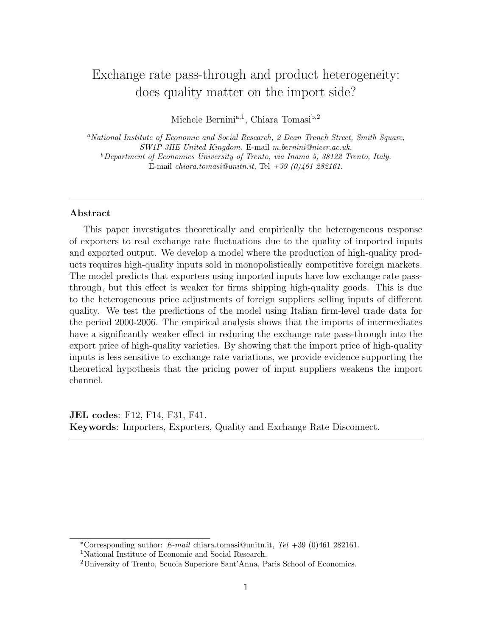# Exchange rate pass-through and product heterogeneity: does quality matter on the import side?

Michele Bernini<sup>a,1</sup>, Chiara Tomasi<sup>b,2</sup>

<sup>a</sup>National Institute of Economic and Social Research, 2 Dean Trench Street, Smith Square, SW1P 3HE United Kingdom. E-mail m.bernini@niesr.ac.uk.  $b$ Department of Economics University of Trento, via Inama 5, 38122 Trento, Italy. E-mail chiara.tomasi@unitn.it, Tel  $+39$  (0)461 282161.

## Abstract

This paper investigates theoretically and empirically the heterogeneous response of exporters to real exchange rate fluctuations due to the quality of imported inputs and exported output. We develop a model where the production of high-quality products requires high-quality inputs sold in monopolistically competitive foreign markets. The model predicts that exporters using imported inputs have low exchange rate passthrough, but this effect is weaker for firms shipping high-quality goods. This is due to the heterogeneous price adjustments of foreign suppliers selling inputs of different quality. We test the predictions of the model using Italian firm-level trade data for the period 2000-2006. The empirical analysis shows that the imports of intermediates have a significantly weaker effect in reducing the exchange rate pass-through into the export price of high-quality varieties. By showing that the import price of high-quality inputs is less sensitive to exchange rate variations, we provide evidence supporting the theoretical hypothesis that the pricing power of input suppliers weakens the import channel.

JEL codes: F12, F14, F31, F41. Keywords: Importers, Exporters, Quality and Exchange Rate Disconnect.

<sup>\*</sup>Corresponding author: E-mail chiara.tomasi@unitn.it, Tel  $+39$  (0)461 282161.

<sup>1</sup>National Institute of Economic and Social Research.

<sup>2</sup>University of Trento, Scuola Superiore Sant'Anna, Paris School of Economics.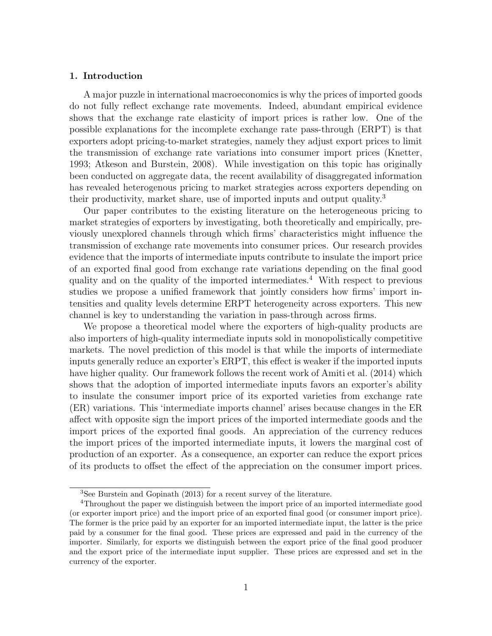### 1. Introduction

A major puzzle in international macroeconomics is why the prices of imported goods do not fully reflect exchange rate movements. Indeed, abundant empirical evidence shows that the exchange rate elasticity of import prices is rather low. One of the possible explanations for the incomplete exchange rate pass-through (ERPT) is that exporters adopt pricing-to-market strategies, namely they adjust export prices to limit the transmission of exchange rate variations into consumer import prices (Knetter, 1993; Atkeson and Burstein, 2008). While investigation on this topic has originally been conducted on aggregate data, the recent availability of disaggregated information has revealed heterogenous pricing to market strategies across exporters depending on their productivity, market share, use of imported inputs and output quality.<sup>3</sup>

Our paper contributes to the existing literature on the heterogeneous pricing to market strategies of exporters by investigating, both theoretically and empirically, previously unexplored channels through which firms' characteristics might influence the transmission of exchange rate movements into consumer prices. Our research provides evidence that the imports of intermediate inputs contribute to insulate the import price of an exported final good from exchange rate variations depending on the final good quality and on the quality of the imported intermediates.<sup>4</sup> With respect to previous studies we propose a unified framework that jointly considers how firms' import intensities and quality levels determine ERPT heterogeneity across exporters. This new channel is key to understanding the variation in pass-through across firms.

We propose a theoretical model where the exporters of high-quality products are also importers of high-quality intermediate inputs sold in monopolistically competitive markets. The novel prediction of this model is that while the imports of intermediate inputs generally reduce an exporter's ERPT, this effect is weaker if the imported inputs have higher quality. Our framework follows the recent work of Amiti et al. (2014) which shows that the adoption of imported intermediate inputs favors an exporter's ability to insulate the consumer import price of its exported varieties from exchange rate (ER) variations. This 'intermediate imports channel' arises because changes in the ER affect with opposite sign the import prices of the imported intermediate goods and the import prices of the exported final goods. An appreciation of the currency reduces the import prices of the imported intermediate inputs, it lowers the marginal cost of production of an exporter. As a consequence, an exporter can reduce the export prices of its products to offset the effect of the appreciation on the consumer import prices.

<sup>3</sup>See Burstein and Gopinath (2013) for a recent survey of the literature.

<sup>&</sup>lt;sup>4</sup>Throughout the paper we distinguish between the import price of an imported intermediate good (or exporter import price) and the import price of an exported final good (or consumer import price). The former is the price paid by an exporter for an imported intermediate input, the latter is the price paid by a consumer for the final good. These prices are expressed and paid in the currency of the importer. Similarly, for exports we distinguish between the export price of the final good producer and the export price of the intermediate input supplier. These prices are expressed and set in the currency of the exporter.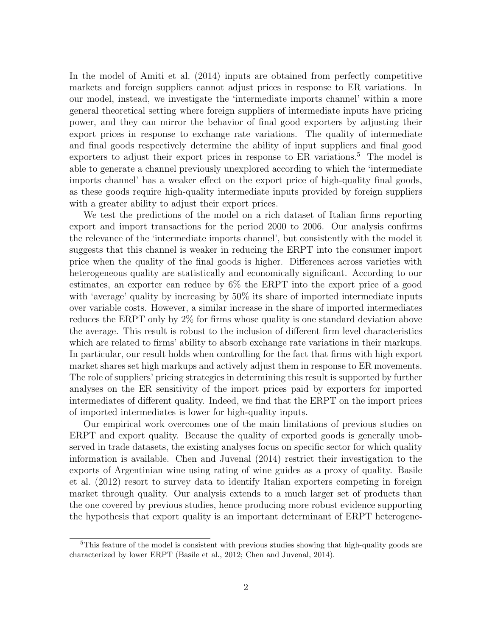In the model of Amiti et al. (2014) inputs are obtained from perfectly competitive markets and foreign suppliers cannot adjust prices in response to ER variations. In our model, instead, we investigate the 'intermediate imports channel' within a more general theoretical setting where foreign suppliers of intermediate inputs have pricing power, and they can mirror the behavior of final good exporters by adjusting their export prices in response to exchange rate variations. The quality of intermediate and final goods respectively determine the ability of input suppliers and final good exporters to adjust their export prices in response to ER variations.<sup>5</sup> The model is able to generate a channel previously unexplored according to which the 'intermediate imports channel' has a weaker effect on the export price of high-quality final goods, as these goods require high-quality intermediate inputs provided by foreign suppliers with a greater ability to adjust their export prices.

We test the predictions of the model on a rich dataset of Italian firms reporting export and import transactions for the period 2000 to 2006. Our analysis confirms the relevance of the 'intermediate imports channel', but consistently with the model it suggests that this channel is weaker in reducing the ERPT into the consumer import price when the quality of the final goods is higher. Differences across varieties with heterogeneous quality are statistically and economically significant. According to our estimates, an exporter can reduce by 6% the ERPT into the export price of a good with 'average' quality by increasing by 50% its share of imported intermediate inputs over variable costs. However, a similar increase in the share of imported intermediates reduces the ERPT only by 2% for firms whose quality is one standard deviation above the average. This result is robust to the inclusion of different firm level characteristics which are related to firms' ability to absorb exchange rate variations in their markups. In particular, our result holds when controlling for the fact that firms with high export market shares set high markups and actively adjust them in response to ER movements. The role of suppliers' pricing strategies in determining this result is supported by further analyses on the ER sensitivity of the import prices paid by exporters for imported intermediates of different quality. Indeed, we find that the ERPT on the import prices of imported intermediates is lower for high-quality inputs.

Our empirical work overcomes one of the main limitations of previous studies on ERPT and export quality. Because the quality of exported goods is generally unobserved in trade datasets, the existing analyses focus on specific sector for which quality information is available. Chen and Juvenal (2014) restrict their investigation to the exports of Argentinian wine using rating of wine guides as a proxy of quality. Basile et al. (2012) resort to survey data to identify Italian exporters competing in foreign market through quality. Our analysis extends to a much larger set of products than the one covered by previous studies, hence producing more robust evidence supporting the hypothesis that export quality is an important determinant of ERPT heterogene-

<sup>&</sup>lt;sup>5</sup>This feature of the model is consistent with previous studies showing that high-quality goods are characterized by lower ERPT (Basile et al., 2012; Chen and Juvenal, 2014).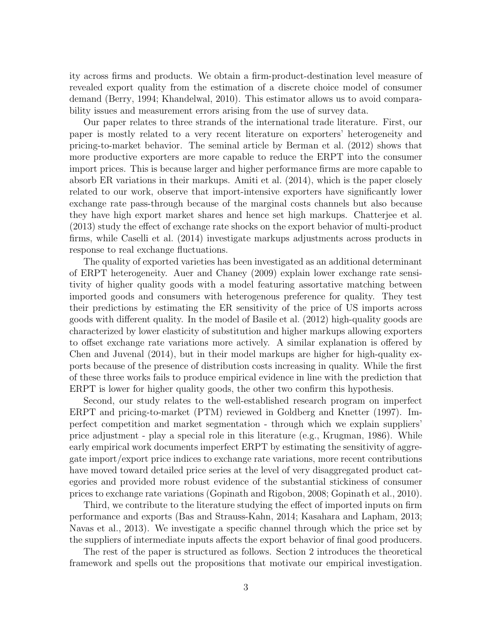ity across firms and products. We obtain a firm-product-destination level measure of revealed export quality from the estimation of a discrete choice model of consumer demand (Berry, 1994; Khandelwal, 2010). This estimator allows us to avoid comparability issues and measurement errors arising from the use of survey data.

Our paper relates to three strands of the international trade literature. First, our paper is mostly related to a very recent literature on exporters' heterogeneity and pricing-to-market behavior. The seminal article by Berman et al. (2012) shows that more productive exporters are more capable to reduce the ERPT into the consumer import prices. This is because larger and higher performance firms are more capable to absorb ER variations in their markups. Amiti et al. (2014), which is the paper closely related to our work, observe that import-intensive exporters have significantly lower exchange rate pass-through because of the marginal costs channels but also because they have high export market shares and hence set high markups. Chatterjee et al. (2013) study the effect of exchange rate shocks on the export behavior of multi-product firms, while Caselli et al. (2014) investigate markups adjustments across products in response to real exchange fluctuations.

The quality of exported varieties has been investigated as an additional determinant of ERPT heterogeneity. Auer and Chaney (2009) explain lower exchange rate sensitivity of higher quality goods with a model featuring assortative matching between imported goods and consumers with heterogenous preference for quality. They test their predictions by estimating the ER sensitivity of the price of US imports across goods with different quality. In the model of Basile et al. (2012) high-quality goods are characterized by lower elasticity of substitution and higher markups allowing exporters to offset exchange rate variations more actively. A similar explanation is offered by Chen and Juvenal (2014), but in their model markups are higher for high-quality exports because of the presence of distribution costs increasing in quality. While the first of these three works fails to produce empirical evidence in line with the prediction that ERPT is lower for higher quality goods, the other two confirm this hypothesis.

Second, our study relates to the well-established research program on imperfect ERPT and pricing-to-market (PTM) reviewed in Goldberg and Knetter (1997). Imperfect competition and market segmentation - through which we explain suppliers' price adjustment - play a special role in this literature (e.g., Krugman, 1986). While early empirical work documents imperfect ERPT by estimating the sensitivity of aggregate import/export price indices to exchange rate variations, more recent contributions have moved toward detailed price series at the level of very disaggregated product categories and provided more robust evidence of the substantial stickiness of consumer prices to exchange rate variations (Gopinath and Rigobon, 2008; Gopinath et al., 2010).

Third, we contribute to the literature studying the effect of imported inputs on firm performance and exports (Bas and Strauss-Kahn, 2014; Kasahara and Lapham, 2013; Navas et al., 2013). We investigate a specific channel through which the price set by the suppliers of intermediate inputs affects the export behavior of final good producers.

The rest of the paper is structured as follows. Section 2 introduces the theoretical framework and spells out the propositions that motivate our empirical investigation.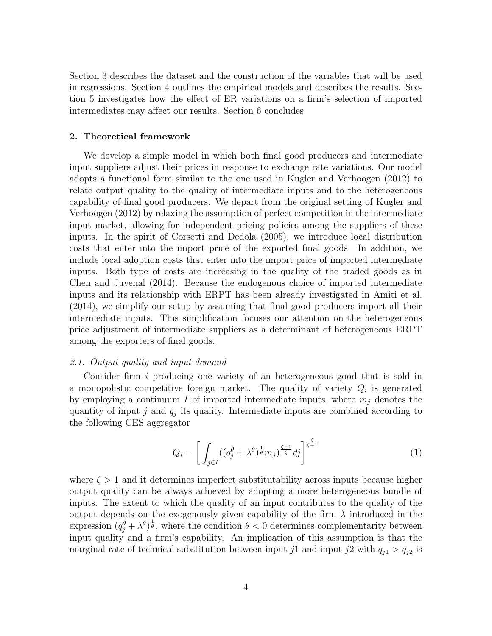Section 3 describes the dataset and the construction of the variables that will be used in regressions. Section 4 outlines the empirical models and describes the results. Section 5 investigates how the effect of ER variations on a firm's selection of imported intermediates may affect our results. Section 6 concludes.

# 2. Theoretical framework

We develop a simple model in which both final good producers and intermediate input suppliers adjust their prices in response to exchange rate variations. Our model adopts a functional form similar to the one used in Kugler and Verhoogen (2012) to relate output quality to the quality of intermediate inputs and to the heterogeneous capability of final good producers. We depart from the original setting of Kugler and Verhoogen (2012) by relaxing the assumption of perfect competition in the intermediate input market, allowing for independent pricing policies among the suppliers of these inputs. In the spirit of Corsetti and Dedola (2005), we introduce local distribution costs that enter into the import price of the exported final goods. In addition, we include local adoption costs that enter into the import price of imported intermediate inputs. Both type of costs are increasing in the quality of the traded goods as in Chen and Juvenal (2014). Because the endogenous choice of imported intermediate inputs and its relationship with ERPT has been already investigated in Amiti et al. (2014), we simplify our setup by assuming that final good producers import all their intermediate inputs. This simplification focuses our attention on the heterogeneous price adjustment of intermediate suppliers as a determinant of heterogeneous ERPT among the exporters of final goods.

## 2.1. Output quality and input demand

Consider firm i producing one variety of an heterogeneous good that is sold in a monopolistic competitive foreign market. The quality of variety  $Q_i$  is generated by employing a continuum  $I$  of imported intermediate inputs, where  $m_j$  denotes the quantity of input  $j$  and  $q_j$  its quality. Intermediate inputs are combined according to the following CES aggregator

$$
Q_i = \left[ \int_{j \in I} ((q_j^{\theta} + \lambda^{\theta})^{\frac{1}{\theta}} m_j)^{\frac{\zeta - 1}{\zeta}} dj \right]^{\frac{\zeta}{\zeta - 1}}
$$
(1)

where  $\zeta > 1$  and it determines imperfect substitutability across inputs because higher output quality can be always achieved by adopting a more heterogeneous bundle of inputs. The extent to which the quality of an input contributes to the quality of the output depends on the exogenously given capability of the firm  $\lambda$  introduced in the expression  $(q_j^{\theta} + \lambda^{\theta})^{\frac{1}{\theta}}$ , where the condition  $\theta < 0$  determines complementarity between input quality and a firm's capability. An implication of this assumption is that the marginal rate of technical substitution between input j1 and input j2 with  $q_{i1} > q_{i2}$  is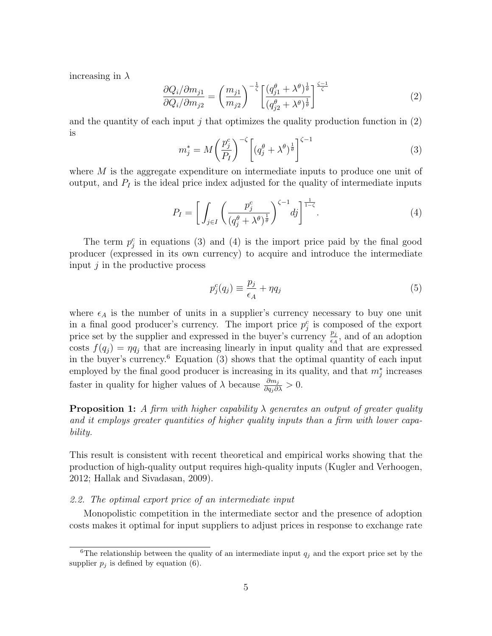increasing in  $\lambda$ 

$$
\frac{\partial Q_i / \partial m_{j1}}{\partial Q_i / \partial m_{j2}} = \left(\frac{m_{j1}}{m_{j2}}\right)^{-\frac{1}{\zeta}} \left[\frac{(q_{j1}^{\theta} + \lambda^{\theta})^{\frac{1}{\theta}}}{(q_{j2}^{\theta} + \lambda^{\theta})^{\frac{1}{\theta}}}\right]^{\frac{\zeta - 1}{\zeta}}
$$
(2)

and the quantity of each input j that optimizes the quality production function in  $(2)$ is

$$
m_j^* = M \left(\frac{p_j^c}{P_I}\right)^{-\zeta} \left[ \left(q_j^{\theta} + \lambda^{\theta}\right)^{\frac{1}{\theta}} \right]^{\zeta - 1} \tag{3}
$$

where M is the aggregate expenditure on intermediate inputs to produce one unit of output, and  $P_I$  is the ideal price index adjusted for the quality of intermediate inputs

$$
P_I = \left[ \int_{j \in I} \left( \frac{p_j^c}{\left( q_j^{\theta} + \lambda^{\theta} \right)^{\frac{1}{\theta}}} \right)^{\zeta - 1} dj \right]^{\frac{1}{1 - \zeta}}.
$$
\n(4)

The term  $p_j^c$  in equations (3) and (4) is the import price paid by the final good producer (expressed in its own currency) to acquire and introduce the intermediate input  $j$  in the productive process

$$
p_j^c(q_j) \equiv \frac{p_j}{\epsilon_A} + \eta q_j \tag{5}
$$

where  $\epsilon_A$  is the number of units in a supplier's currency necessary to buy one unit in a final good producer's currency. The import price  $p_j^c$  is composed of the export price set by the supplier and expressed in the buyer's currency  $\frac{p_j}{\epsilon_A}$ , and of an adoption costs  $f(q_j) = \eta q_j$  that are increasing linearly in input quality and that are expressed in the buyer's currency. $6$  Equation (3) shows that the optimal quantity of each input employed by the final good producer is increasing in its quality, and that  $m_j^*$  increases faster in quality for higher values of  $\lambda$  because  $\frac{\partial m_j}{\partial q_j \partial \lambda} > 0$ .

**Proposition 1:** A firm with higher capability  $\lambda$  generates an output of greater quality and it employs greater quantities of higher quality inputs than a firm with lower capability.

This result is consistent with recent theoretical and empirical works showing that the production of high-quality output requires high-quality inputs (Kugler and Verhoogen, 2012; Hallak and Sivadasan, 2009).

## 2.2. The optimal export price of an intermediate input

Monopolistic competition in the intermediate sector and the presence of adoption costs makes it optimal for input suppliers to adjust prices in response to exchange rate

<sup>&</sup>lt;sup>6</sup>The relationship between the quality of an intermediate input  $q_j$  and the export price set by the supplier  $p_j$  is defined by equation (6).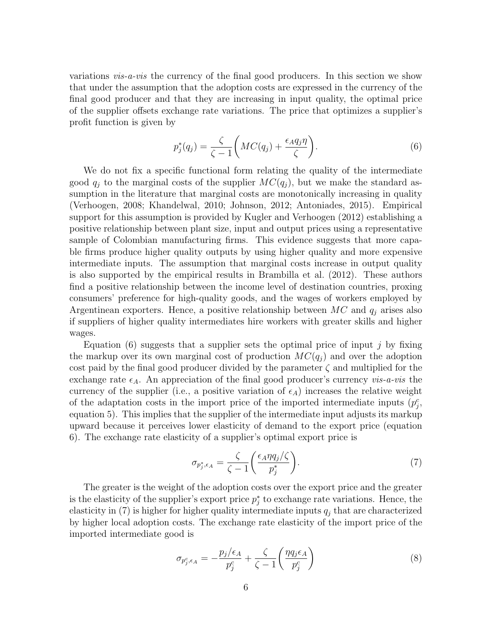variations vis-a-vis the currency of the final good producers. In this section we show that under the assumption that the adoption costs are expressed in the currency of the final good producer and that they are increasing in input quality, the optimal price of the supplier offsets exchange rate variations. The price that optimizes a supplier's profit function is given by

$$
p_j^*(q_j) = \frac{\zeta}{\zeta - 1} \left( MC(q_j) + \frac{\epsilon_A q_j \eta}{\zeta} \right). \tag{6}
$$

We do not fix a specific functional form relating the quality of the intermediate good  $q_i$  to the marginal costs of the supplier  $MC(q_i)$ , but we make the standard assumption in the literature that marginal costs are monotonically increasing in quality (Verhoogen, 2008; Khandelwal, 2010; Johnson, 2012; Antoniades, 2015). Empirical support for this assumption is provided by Kugler and Verhoogen (2012) establishing a positive relationship between plant size, input and output prices using a representative sample of Colombian manufacturing firms. This evidence suggests that more capable firms produce higher quality outputs by using higher quality and more expensive intermediate inputs. The assumption that marginal costs increase in output quality is also supported by the empirical results in Brambilla et al. (2012). These authors find a positive relationship between the income level of destination countries, proxing consumers' preference for high-quality goods, and the wages of workers employed by Argentinean exporters. Hence, a positive relationship between  $MC$  and  $q_i$  arises also if suppliers of higher quality intermediates hire workers with greater skills and higher wages.

Equation (6) suggests that a supplier sets the optimal price of input  $j$  by fixing the markup over its own marginal cost of production  $MC(q_j)$  and over the adoption cost paid by the final good producer divided by the parameter  $\zeta$  and multiplied for the exchange rate  $\epsilon_A$ . An appreciation of the final good producer's currency vis-a-vis the currency of the supplier (i.e., a positive variation of  $\epsilon_A$ ) increases the relative weight of the adaptation costs in the import price of the imported intermediate inputs  $(p_j^c,$ equation 5). This implies that the supplier of the intermediate input adjusts its markup upward because it perceives lower elasticity of demand to the export price (equation 6). The exchange rate elasticity of a supplier's optimal export price is

$$
\sigma_{p_j^*,\epsilon_A} = \frac{\zeta}{\zeta - 1} \left( \frac{\epsilon_A \eta q_j / \zeta}{p_j^*} \right). \tag{7}
$$

The greater is the weight of the adoption costs over the export price and the greater is the elasticity of the supplier's export price  $p_j^*$  to exchange rate variations. Hence, the elasticity in (7) is higher for higher quality intermediate inputs  $q_i$  that are characterized by higher local adoption costs. The exchange rate elasticity of the import price of the imported intermediate good is

$$
\sigma_{p_j^c, \epsilon_A} = -\frac{p_j/\epsilon_A}{p_j^c} + \frac{\zeta}{\zeta - 1} \left( \frac{\eta q_j \epsilon_A}{p_j^c} \right) \tag{8}
$$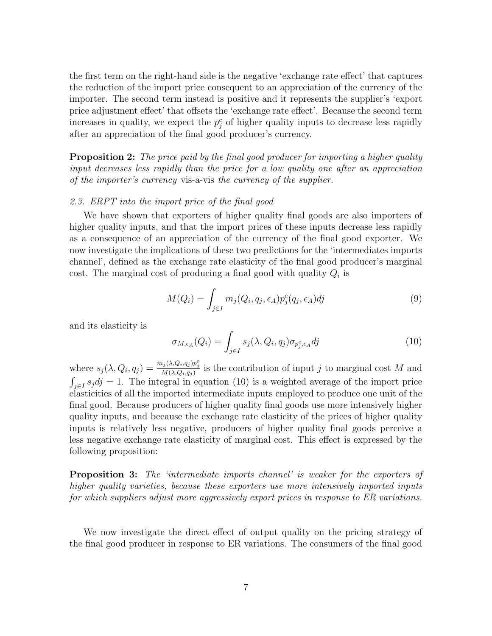the first term on the right-hand side is the negative 'exchange rate effect' that captures the reduction of the import price consequent to an appreciation of the currency of the importer. The second term instead is positive and it represents the supplier's 'export price adjustment effect' that offsets the 'exchange rate effect'. Because the second term increases in quality, we expect the  $p_j^c$  of higher quality inputs to decrease less rapidly after an appreciation of the final good producer's currency.

**Proposition 2:** The price paid by the final good producer for importing a higher quality input decreases less rapidly than the price for a low quality one after an appreciation of the importer's currency vis-a-vis the currency of the supplier.

## 2.3. ERPT into the import price of the final good

We have shown that exporters of higher quality final goods are also importers of higher quality inputs, and that the import prices of these inputs decrease less rapidly as a consequence of an appreciation of the currency of the final good exporter. We now investigate the implications of these two predictions for the 'intermediates imports channel', defined as the exchange rate elasticity of the final good producer's marginal cost. The marginal cost of producing a final good with quality  $Q_i$  is

$$
M(Q_i) = \int_{j \in I} m_j(Q_i, q_j, \epsilon_A) p_j^c(q_j, \epsilon_A) dj \tag{9}
$$

and its elasticity is

$$
\sigma_{M,\epsilon_A}(Q_i) = \int_{j \in I} s_j(\lambda, Q_i, q_j) \sigma_{p_j^c, \epsilon_A} dj \tag{10}
$$

where  $s_j(\lambda, Q_i, q_j) = \frac{m_j(\lambda, Q_i, q_j)p_j^c}{M(\lambda, Q_i, q_j)}$  is the contribution of input j to marginal cost M and  $\int_{j\in I} s_j dj = 1$ . The integral in equation (10) is a weighted average of the import price elasticities of all the imported intermediate inputs employed to produce one unit of the final good. Because producers of higher quality final goods use more intensively higher quality inputs, and because the exchange rate elasticity of the prices of higher quality inputs is relatively less negative, producers of higher quality final goods perceive a less negative exchange rate elasticity of marginal cost. This effect is expressed by the following proposition:

Proposition 3: The 'intermediate imports channel' is weaker for the exporters of higher quality varieties, because these exporters use more intensively imported inputs for which suppliers adjust more aggressively export prices in response to ER variations.

We now investigate the direct effect of output quality on the pricing strategy of the final good producer in response to ER variations. The consumers of the final good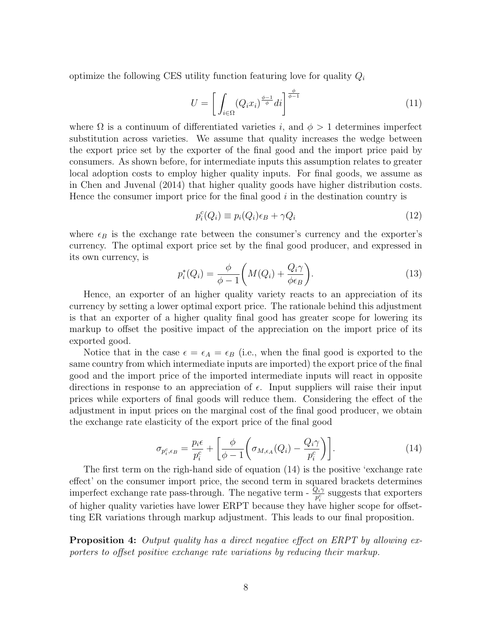optimize the following CES utility function featuring love for quality  $Q_i$ 

$$
U = \left[ \int_{i \in \Omega} (Q_i x_i)^{\frac{\phi - 1}{\phi}} di \right]^{\frac{\phi}{\phi - 1}} \tag{11}
$$

where  $\Omega$  is a continuum of differentiated varieties i, and  $\phi > 1$  determines imperfect substitution across varieties. We assume that quality increases the wedge between the export price set by the exporter of the final good and the import price paid by consumers. As shown before, for intermediate inputs this assumption relates to greater local adoption costs to employ higher quality inputs. For final goods, we assume as in Chen and Juvenal (2014) that higher quality goods have higher distribution costs. Hence the consumer import price for the final good  $i$  in the destination country is

$$
p_i^c(Q_i) \equiv p_i(Q_i)\epsilon_B + \gamma Q_i \tag{12}
$$

where  $\epsilon_B$  is the exchange rate between the consumer's currency and the exporter's currency. The optimal export price set by the final good producer, and expressed in its own currency, is

$$
p_i^*(Q_i) = \frac{\phi}{\phi - 1} \left( M(Q_i) + \frac{Q_i \gamma}{\phi \epsilon_B} \right). \tag{13}
$$

Hence, an exporter of an higher quality variety reacts to an appreciation of its currency by setting a lower optimal export price. The rationale behind this adjustment is that an exporter of a higher quality final good has greater scope for lowering its markup to offset the positive impact of the appreciation on the import price of its exported good.

Notice that in the case  $\epsilon = \epsilon_A = \epsilon_B$  (i.e., when the final good is exported to the same country from which intermediate inputs are imported) the export price of the final good and the import price of the imported intermediate inputs will react in opposite directions in response to an appreciation of  $\epsilon$ . Input suppliers will raise their input prices while exporters of final goods will reduce them. Considering the effect of the adjustment in input prices on the marginal cost of the final good producer, we obtain the exchange rate elasticity of the export price of the final good

$$
\sigma_{p_i^c, \epsilon_B} = \frac{p_i \epsilon}{p_i^c} + \left[ \frac{\phi}{\phi - 1} \left( \sigma_{M, \epsilon_A}(Q_i) - \frac{Q_i \gamma}{p_i^c} \right) \right]. \tag{14}
$$

The first term on the righ-hand side of equation (14) is the positive 'exchange rate effect' on the consumer import price, the second term in squared brackets determines imperfect exchange rate pass-through. The negative term -  $\frac{Q_i \gamma}{p_i^c}$  suggests that exporters of higher quality varieties have lower ERPT because they have higher scope for offsetting ER variations through markup adjustment. This leads to our final proposition.

**Proposition 4:** Output quality has a direct negative effect on ERPT by allowing exporters to offset positive exchange rate variations by reducing their markup.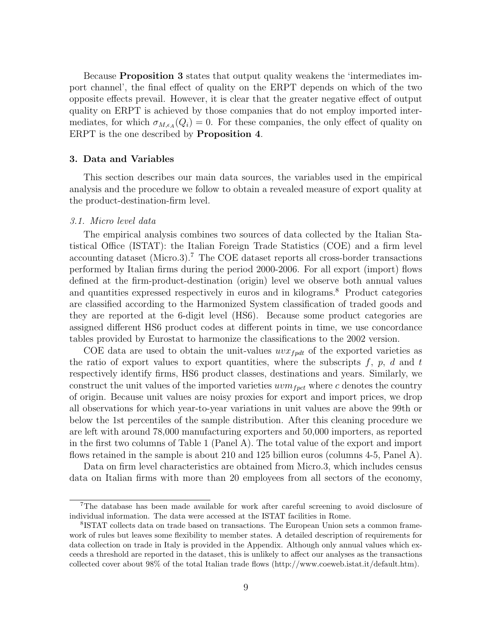Because Proposition 3 states that output quality weakens the 'intermediates import channel', the final effect of quality on the ERPT depends on which of the two opposite effects prevail. However, it is clear that the greater negative effect of output quality on ERPT is achieved by those companies that do not employ imported intermediates, for which  $\sigma_{M,\epsilon_A}(Q_i) = 0$ . For these companies, the only effect of quality on ERPT is the one described by Proposition 4.

## 3. Data and Variables

This section describes our main data sources, the variables used in the empirical analysis and the procedure we follow to obtain a revealed measure of export quality at the product-destination-firm level.

#### 3.1. Micro level data

The empirical analysis combines two sources of data collected by the Italian Statistical Office (ISTAT): the Italian Foreign Trade Statistics (COE) and a firm level accounting dataset (Micro.3).<sup>7</sup> The COE dataset reports all cross-border transactions performed by Italian firms during the period 2000-2006. For all export (import) flows defined at the firm-product-destination (origin) level we observe both annual values and quantities expressed respectively in euros and in kilograms.<sup>8</sup> Product categories are classified according to the Harmonized System classification of traded goods and they are reported at the 6-digit level (HS6). Because some product categories are assigned different HS6 product codes at different points in time, we use concordance tables provided by Eurostat to harmonize the classifications to the 2002 version.

COE data are used to obtain the unit-values  $uvx_{fpdt}$  of the exported varieties as the ratio of export values to export quantities, where the subscripts f, p, d and t respectively identify firms, HS6 product classes, destinations and years. Similarly, we construct the unit values of the imported varieties  $u v m_{f p c t}$  where c denotes the country of origin. Because unit values are noisy proxies for export and import prices, we drop all observations for which year-to-year variations in unit values are above the 99th or below the 1st percentiles of the sample distribution. After this cleaning procedure we are left with around 78,000 manufacturing exporters and 50,000 importers, as reported in the first two columns of Table 1 (Panel A). The total value of the export and import flows retained in the sample is about 210 and 125 billion euros (columns 4-5, Panel A).

Data on firm level characteristics are obtained from Micro.3, which includes census data on Italian firms with more than 20 employees from all sectors of the economy,

<sup>7</sup>The database has been made available for work after careful screening to avoid disclosure of individual information. The data were accessed at the ISTAT facilities in Rome.

<sup>8</sup> ISTAT collects data on trade based on transactions. The European Union sets a common framework of rules but leaves some flexibility to member states. A detailed description of requirements for data collection on trade in Italy is provided in the Appendix. Although only annual values which exceeds a threshold are reported in the dataset, this is unlikely to affect our analyses as the transactions collected cover about 98% of the total Italian trade flows (http://www.coeweb.istat.it/default.htm).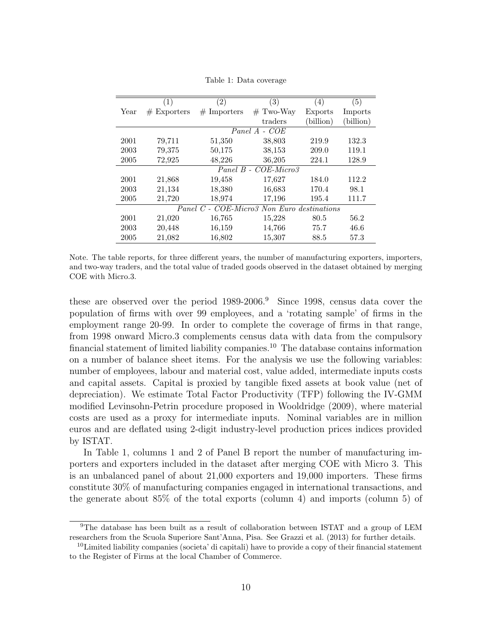|      | (1)           | (2)                                        | (3)                  | (4)       | (5)       |
|------|---------------|--------------------------------------------|----------------------|-----------|-----------|
| Year | $#$ Exporters | $#$ Importers                              | $#$ Two-Way          | Exports   | Imports   |
|      |               |                                            | traders              | (billion) | (billion) |
|      |               | Panel A                                    | $-COE$               |           |           |
| 2001 | 79,711        | 51,350                                     | 38,803               | 219.9     | 132.3     |
| 2003 | 79,375        | 50,175                                     | 38,153               | 209.0     | 119.1     |
| 2005 | 72,925        | 48,226                                     | 36,205               | 224.1     | 128.9     |
|      |               |                                            | Panel B - COE-Micro3 |           |           |
| 2001 | 21,868        | 19,458                                     | 17,627               | 184.0     | 112.2     |
| 2003 | 21,134        | 18,380                                     | 16,683               | 170.4     | 98.1      |
| 2005 | 21,720        | 18,974                                     | 17,196               | 195.4     | 111.7     |
|      |               | Panel C - COE-Micro3 Non Euro destinations |                      |           |           |
| 2001 | 21,020        | 16,765                                     | 15,228               | 80.5      | 56.2      |
| 2003 | 20,448        | 16,159                                     | 14,766               | 75.7      | 46.6      |
| 2005 | 21,082        | 16,802                                     | 15,307               | 88.5      | 57.3      |

Table 1: Data coverage

these are observed over the period 1989-2006.<sup>9</sup> Since 1998, census data cover the population of firms with over 99 employees, and a 'rotating sample' of firms in the employment range 20-99. In order to complete the coverage of firms in that range, from 1998 onward Micro.3 complements census data with data from the compulsory financial statement of limited liability companies.<sup>10</sup> The database contains information on a number of balance sheet items. For the analysis we use the following variables: number of employees, labour and material cost, value added, intermediate inputs costs and capital assets. Capital is proxied by tangible fixed assets at book value (net of depreciation). We estimate Total Factor Productivity (TFP) following the IV-GMM modified Levinsohn-Petrin procedure proposed in Wooldridge (2009), where material costs are used as a proxy for intermediate inputs. Nominal variables are in million euros and are deflated using 2-digit industry-level production prices indices provided by ISTAT.

In Table 1, columns 1 and 2 of Panel B report the number of manufacturing importers and exporters included in the dataset after merging COE with Micro 3. This is an unbalanced panel of about 21,000 exporters and 19,000 importers. These firms constitute 30% of manufacturing companies engaged in international transactions, and the generate about 85% of the total exports (column 4) and imports (column 5) of

Note. The table reports, for three different years, the number of manufacturing exporters, importers, and two-way traders, and the total value of traded goods observed in the dataset obtained by merging COE with Micro.3.

<sup>9</sup>The database has been built as a result of collaboration between ISTAT and a group of LEM researchers from the Scuola Superiore Sant'Anna, Pisa. See Grazzi et al. (2013) for further details.

 $10$ Limited liability companies (societa' di capitali) have to provide a copy of their financial statement to the Register of Firms at the local Chamber of Commerce.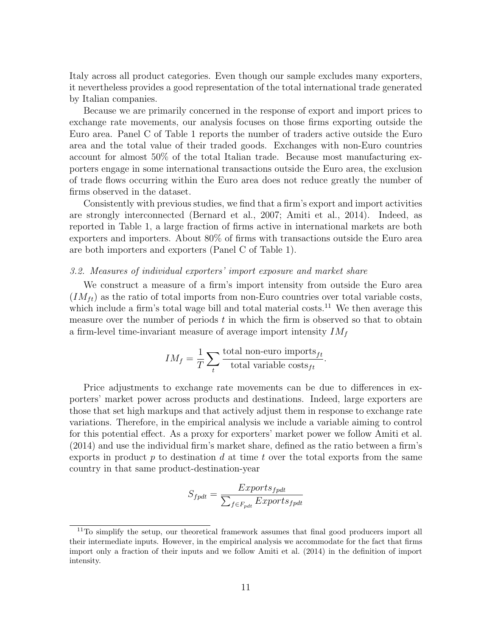Italy across all product categories. Even though our sample excludes many exporters, it nevertheless provides a good representation of the total international trade generated by Italian companies.

Because we are primarily concerned in the response of export and import prices to exchange rate movements, our analysis focuses on those firms exporting outside the Euro area. Panel C of Table 1 reports the number of traders active outside the Euro area and the total value of their traded goods. Exchanges with non-Euro countries account for almost 50% of the total Italian trade. Because most manufacturing exporters engage in some international transactions outside the Euro area, the exclusion of trade flows occurring within the Euro area does not reduce greatly the number of firms observed in the dataset.

Consistently with previous studies, we find that a firm's export and import activities are strongly interconnected (Bernard et al., 2007; Amiti et al., 2014). Indeed, as reported in Table 1, a large fraction of firms active in international markets are both exporters and importers. About 80% of firms with transactions outside the Euro area are both importers and exporters (Panel C of Table 1).

# 3.2. Measures of individual exporters' import exposure and market share

We construct a measure of a firm's import intensity from outside the Euro area  $(IM_{ft})$  as the ratio of total imports from non-Euro countries over total variable costs, which include a firm's total wage bill and total material costs.<sup>11</sup> We then average this measure over the number of periods  $t$  in which the firm is observed so that to obtain a firm-level time-invariant measure of average import intensity  $IM_f$ 

$$
IM_f = \frac{1}{T} \sum_{t} \frac{\text{total non-euro imports}_{ft}}{\text{total variable costs}_{ft}}.
$$

Price adjustments to exchange rate movements can be due to differences in exporters' market power across products and destinations. Indeed, large exporters are those that set high markups and that actively adjust them in response to exchange rate variations. Therefore, in the empirical analysis we include a variable aiming to control for this potential effect. As a proxy for exporters' market power we follow Amiti et al. (2014) and use the individual firm's market share, defined as the ratio between a firm's exports in product  $p$  to destination  $d$  at time  $t$  over the total exports from the same country in that same product-destination-year

$$
S_{fpdt} = \frac{Exports_{fpdt}}{\sum_{f \in F_{pdt}} Exports_{fpdt}}
$$

 $11$ To simplify the setup, our theoretical framework assumes that final good producers import all their intermediate inputs. However, in the empirical analysis we accommodate for the fact that firms import only a fraction of their inputs and we follow Amiti et al. (2014) in the definition of import intensity.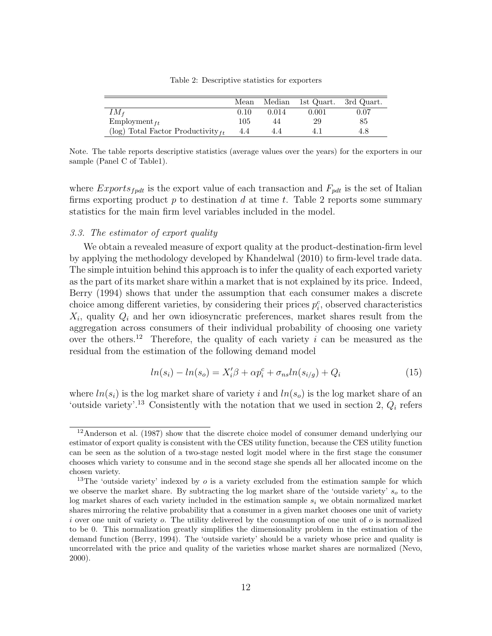|                                         | Mean |       | Median 1st Quart. | 3rd Quart. |
|-----------------------------------------|------|-------|-------------------|------------|
| $IM_f$                                  | 0.10 | 0.014 | 0.001             | 0.07       |
| $Employment_{ft}$                       | 105  | 44    | 29                | 85         |
| (log) Total Factor Productivity $_{ft}$ | 4.4  | 4.4   |                   | 4.8        |

Table 2: Descriptive statistics for exporters

Note. The table reports descriptive statistics (average values over the years) for the exporters in our sample (Panel C of Table1).

where  $Express_{fput}$  is the export value of each transaction and  $F_{pdt}$  is the set of Italian firms exporting product  $p$  to destination  $d$  at time  $t$ . Table 2 reports some summary statistics for the main firm level variables included in the model.

## 3.3. The estimator of export quality

 $\equiv$  $\overline{\phantom{0}}$ 

We obtain a revealed measure of export quality at the product-destination-firm level by applying the methodology developed by Khandelwal (2010) to firm-level trade data. The simple intuition behind this approach is to infer the quality of each exported variety as the part of its market share within a market that is not explained by its price. Indeed, Berry (1994) shows that under the assumption that each consumer makes a discrete choice among different varieties, by considering their prices  $p_i^c$ , observed characteristics  $X_i$ , quality  $Q_i$  and her own idiosyncratic preferences, market shares result from the aggregation across consumers of their individual probability of choosing one variety over the others.<sup>12</sup> Therefore, the quality of each variety i can be measured as the residual from the estimation of the following demand model

$$
ln(s_i) - ln(s_o) = X_i'\beta + \alpha p_i^c + \sigma_{ns} ln(s_{i/g}) + Q_i
$$
\n(15)

where  $ln(s_i)$  is the log market share of variety i and  $ln(s_o)$  is the log market share of an 'outside variety'.<sup>13</sup> Consistently with the notation that we used in section 2,  $Q_i$  refers

<sup>&</sup>lt;sup>12</sup>Anderson et al. (1987) show that the discrete choice model of consumer demand underlying our estimator of export quality is consistent with the CES utility function, because the CES utility function can be seen as the solution of a two-stage nested logit model where in the first stage the consumer chooses which variety to consume and in the second stage she spends all her allocated income on the chosen variety.

<sup>&</sup>lt;sup>13</sup>The 'outside variety' indexed by  $\sigma$  is a variety excluded from the estimation sample for which we observe the market share. By subtracting the log market share of the 'outside variety'  $s<sub>o</sub>$  to the log market shares of each variety included in the estimation sample  $s_i$  we obtain normalized market shares mirroring the relative probability that a consumer in a given market chooses one unit of variety i over one unit of variety  $o$ . The utility delivered by the consumption of one unit of  $o$  is normalized to be 0. This normalization greatly simplifies the dimensionality problem in the estimation of the demand function (Berry, 1994). The 'outside variety' should be a variety whose price and quality is uncorrelated with the price and quality of the varieties whose market shares are normalized (Nevo, 2000).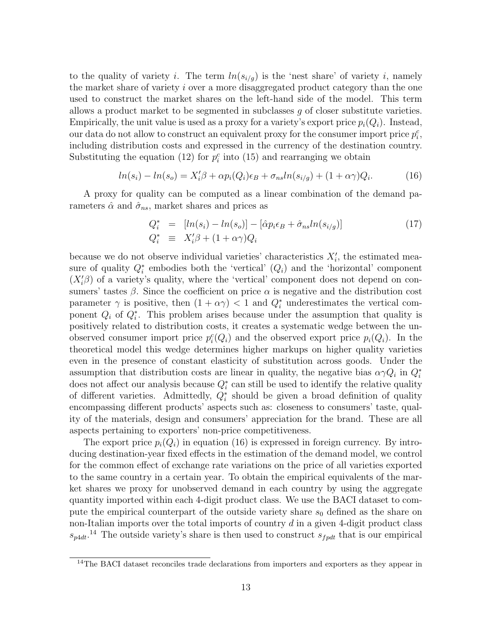to the quality of variety i. The term  $ln(s_{i/g})$  is the 'nest share' of variety i, namely the market share of variety i over a more disaggregated product category than the one used to construct the market shares on the left-hand side of the model. This term allows a product market to be segmented in subclasses g of closer substitute varieties. Empirically, the unit value is used as a proxy for a variety's export price  $p_i(Q_i)$ . Instead, our data do not allow to construct an equivalent proxy for the consumer import price  $p_i^c$ , including distribution costs and expressed in the currency of the destination country. Substituting the equation (12) for  $p_i^c$  into (15) and rearranging we obtain

$$
ln(s_i) - ln(s_o) = X_i'\beta + \alpha p_i(Q_i)\epsilon_B + \sigma_{ns}ln(s_{i/g}) + (1 + \alpha \gamma)Q_i.
$$
 (16)

A proxy for quality can be computed as a linear combination of the demand parameters  $\hat{\alpha}$  and  $\hat{\sigma}_{ns}$ , market shares and prices as

$$
Q_i^* = [ln(s_i) - ln(s_o)] - [\hat{\alpha}p_i \epsilon_B + \hat{\sigma}_{ns} ln(s_{i/g})]
$$
  
\n
$$
Q_i^* \equiv X_i' \beta + (1 + \alpha \gamma) Q_i
$$
\n(17)

because we do not observe individual varieties' characteristics  $X_i'$ , the estimated measure of quality  $Q_i^*$  embodies both the 'vertical'  $(Q_i)$  and the 'horizontal' component  $(X_i'\beta)$  of a variety's quality, where the 'vertical' component does not depend on consumers' tastes  $\beta$ . Since the coefficient on price  $\alpha$  is negative and the distribution cost parameter  $\gamma$  is positive, then  $(1 + \alpha \gamma) < 1$  and  $Q_i^*$  underestimates the vertical component  $Q_i$  of  $Q_i^*$ . This problem arises because under the assumption that quality is positively related to distribution costs, it creates a systematic wedge between the unobserved consumer import price  $p_i^c(Q_i)$  and the observed export price  $p_i(Q_i)$ . In the theoretical model this wedge determines higher markups on higher quality varieties even in the presence of constant elasticity of substitution across goods. Under the assumption that distribution costs are linear in quality, the negative bias  $\alpha \gamma Q_i$  in  $Q_i^*$ does not affect our analysis because  $Q_i^*$  can still be used to identify the relative quality of different varieties. Admittedly,  $Q_i^*$  should be given a broad definition of quality encompassing different products' aspects such as: closeness to consumers' taste, quality of the materials, design and consumers' appreciation for the brand. These are all aspects pertaining to exporters' non-price competitiveness.

The export price  $p_i(Q_i)$  in equation (16) is expressed in foreign currency. By introducing destination-year fixed effects in the estimation of the demand model, we control for the common effect of exchange rate variations on the price of all varieties exported to the same country in a certain year. To obtain the empirical equivalents of the market shares we proxy for unobserved demand in each country by using the aggregate quantity imported within each 4-digit product class. We use the BACI dataset to compute the empirical counterpart of the outside variety share  $s_0$  defined as the share on non-Italian imports over the total imports of country  $d$  in a given 4-digit product class  $s_{p4dt}$ <sup>14</sup> The outside variety's share is then used to construct  $s_{fpdt}$  that is our empirical

 $14$ The BACI dataset reconciles trade declarations from importers and exporters as they appear in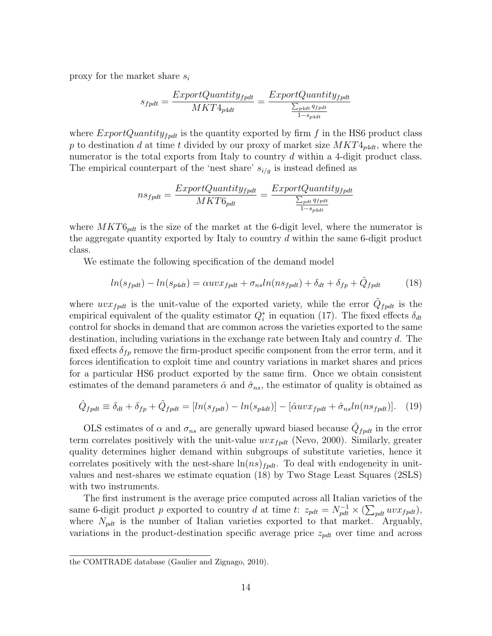proxy for the market share  $s_i$ 

$$
s_{fptt} = \frac{ExpertQuantity_{fptt}}{MKT4_{p4dt}} = \frac{ExportQuantity_{fptt}}{\frac{\sum_{p4dt} q_{fptt}}{1 - s_{p4dt}}}
$$

where  $ExportQuantity_{fpdf}$  is the quantity exported by firm f in the HS6 product class p to destination d at time t divided by our proxy of market size  $MKT4_{p4dt}$ , where the numerator is the total exports from Italy to country d within a 4-digit product class. The empirical counterpart of the 'nest share'  $s_{i/g}$  is instead defined as

$$
ns_{fpdt} = \frac{ExportQuantity_{fpdt}}{MKT6_{pdt}} = \frac{ExportQuantity_{fpdt}}{\frac{\sum_{pdt} q_{fpdt}}{1 - s_{p4dt}}}
$$

where  $MKT6_{pdt}$  is the size of the market at the 6-digit level, where the numerator is the aggregate quantity exported by Italy to country d within the same 6-digit product class.

We estimate the following specification of the demand model

$$
ln(s_{fpdf}) - ln(s_{p4dt}) = \alpha uv x_{fpdf} + \sigma_{ns} ln(ns_{fpdf}) + \delta_{dt} + \delta_{fp} + \tilde{Q}_{fpdf}
$$
\n(18)

where  $uvx_{fpdt}$  is the unit-value of the exported variety, while the error  $\tilde{Q}_{fpdt}$  is the empirical equivalent of the quality estimator  $Q_i^*$  in equation (17). The fixed effects  $\delta_{dt}$ control for shocks in demand that are common across the varieties exported to the same destination, including variations in the exchange rate between Italy and country d. The fixed effects  $\delta_{fp}$  remove the firm-product specific component from the error term, and it forces identification to exploit time and country variations in market shares and prices for a particular HS6 product exported by the same firm. Once we obtain consistent estimates of the demand parameters  $\hat{\alpha}$  and  $\hat{\sigma}_{ns}$ , the estimator of quality is obtained as

$$
\hat{Q}_{fpdt} \equiv \delta_{dt} + \delta_{fp} + \tilde{Q}_{fpdt} = [ln(s_{fpdt}) - ln(s_{p4dt})] - [\hat{\alpha}uvx_{fpdt} + \hat{\sigma}_{ns}ln(ns_{fpdt})].
$$
 (19)

OLS estimates of  $\alpha$  and  $\sigma_{ns}$  are generally upward biased because  $\hat{Q}_{fpdt}$  in the error term correlates positively with the unit-value  $uvx_{fpdt}$  (Nevo, 2000). Similarly, greater quality determines higher demand within subgroups of substitute varieties, hence it correlates positively with the nest-share  $\ln(ns)_{fpdt}$ . To deal with endogeneity in unitvalues and nest-shares we estimate equation (18) by Two Stage Least Squares (2SLS) with two instruments.

The first instrument is the average price computed across all Italian varieties of the same 6-digit product p exported to country d at time t:  $z_{pdt} = N_{pdt}^{-1} \times (\sum_{pdt} uv x_{fpdt}),$ where  $N_{pdt}$  is the number of Italian varieties exported to that market. Arguably, variations in the product-destination specific average price  $z_{pdt}$  over time and across

the COMTRADE database (Gaulier and Zignago, 2010).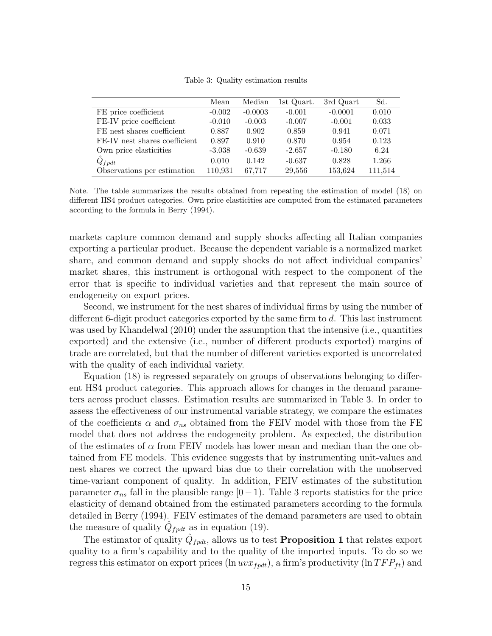Table 3: Quality estimation results

|                               | Mean     | Median    | 1st Quart. | 3rd Quart | Sd.     |
|-------------------------------|----------|-----------|------------|-----------|---------|
| FE price coefficient          | $-0.002$ | $-0.0003$ | $-0.001$   | $-0.0001$ | 0.010   |
| FE-IV price coefficient       | $-0.010$ | $-0.003$  | $-0.007$   | $-0.001$  | 0.033   |
| FE nest shares coefficient    | 0.887    | 0.902     | 0.859      | 0.941     | 0.071   |
| FE-IV nest shares coefficient | 0.897    | 0.910     | 0.870      | 0.954     | 0.123   |
| Own price elasticities        | $-3.038$ | $-0.639$  | $-2.657$   | $-0.180$  | 6.24    |
| $Q_{f\rho dt}$                | 0.010    | 0.142     | $-0.637$   | 0.828     | 1.266   |
| Observations per estimation   | 110.931  | 67.717    | 29,556     | 153,624   | 111.514 |

Note. The table summarizes the results obtained from repeating the estimation of model (18) on different HS4 product categories. Own price elasticities are computed from the estimated parameters according to the formula in Berry (1994).

markets capture common demand and supply shocks affecting all Italian companies exporting a particular product. Because the dependent variable is a normalized market share, and common demand and supply shocks do not affect individual companies' market shares, this instrument is orthogonal with respect to the component of the error that is specific to individual varieties and that represent the main source of endogeneity on export prices.

Second, we instrument for the nest shares of individual firms by using the number of different 6-digit product categories exported by the same firm to d. This last instrument was used by Khandelwal (2010) under the assumption that the intensive (i.e., quantities exported) and the extensive (i.e., number of different products exported) margins of trade are correlated, but that the number of different varieties exported is uncorrelated with the quality of each individual variety.

Equation (18) is regressed separately on groups of observations belonging to different HS4 product categories. This approach allows for changes in the demand parameters across product classes. Estimation results are summarized in Table 3. In order to assess the effectiveness of our instrumental variable strategy, we compare the estimates of the coefficients  $\alpha$  and  $\sigma_{ns}$  obtained from the FEIV model with those from the FE model that does not address the endogeneity problem. As expected, the distribution of the estimates of  $\alpha$  from FEIV models has lower mean and median than the one obtained from FE models. This evidence suggests that by instrumenting unit-values and nest shares we correct the upward bias due to their correlation with the unobserved time-variant component of quality. In addition, FEIV estimates of the substitution parameter  $\sigma_{ns}$  fall in the plausible range [0−1). Table 3 reports statistics for the price elasticity of demand obtained from the estimated parameters according to the formula detailed in Berry (1994). FEIV estimates of the demand parameters are used to obtain the measure of quality  $\hat{Q}_{fpdt}$  as in equation (19).

The estimator of quality  $\hat{Q}_{fpdt}$ , allows us to test **Proposition 1** that relates export quality to a firm's capability and to the quality of the imported inputs. To do so we regress this estimator on export prices (ln  $uvx_{fpdt}$ ), a firm's productivity (ln  $TFP_{ft}$ ) and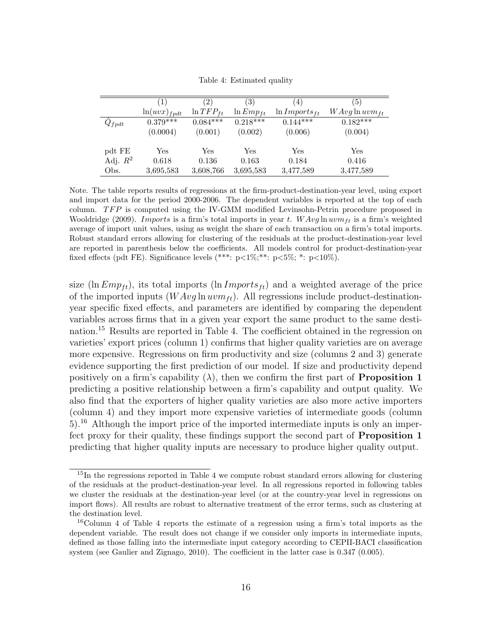|                | $\left(1\right)$  | $^{\prime}2)$  | (3)            | 4)                          | 5)                  |
|----------------|-------------------|----------------|----------------|-----------------------------|---------------------|
|                | $\ln(uvx)_{fpdt}$ | $\ln TFP_{ft}$ | $\ln Emp_{ft}$ | $\ln \textit{Imports}_{ft}$ | $WAvg \ln uvm_{ft}$ |
| $Q_{f\rho dt}$ | $0.379***$        | $0.084***$     | $0.218***$     | $0.144***$                  | $0.182***$          |
|                | (0.0004)          | (0.001)        | (0.002)        | (0.006)                     | (0.004)             |
|                |                   |                |                |                             |                     |
| pdt FE         | Yes               | Yes            | Yes            | $\operatorname{Yes}$        | Yes                 |
| Adj. $R^2$     | 0.618             | 0.136          | 0.163          | 0.184                       | 0.416               |
| Obs.           | 3,695,583         | 3,608,766      | 3,695,583      | 3,477,589                   | 3,477,589           |

Table 4: Estimated quality

Note. The table reports results of regressions at the firm-product-destination-year level, using export and import data for the period 2000-2006. The dependent variables is reported at the top of each column.  $TFP$  is computed using the IV-GMM modified Levinsohn-Petrin procedure proposed in Wooldridge (2009). Imports is a firm's total imports in year t.  $WAvg \ln wvm_{tt}$  is a firm's weighted average of import unit values, using as weight the share of each transaction on a firm's total imports. Robust standard errors allowing for clustering of the residuals at the product-destination-year level are reported in parenthesis below the coefficients. All models control for product-destination-year fixed effects (pdt FE). Significance levels  $(***: p<1\%; **: p<5\%; *: p<10\%).$ 

size (ln  $Emp_{tt}$ ), its total imports (ln  $Imports_{tt}$ ) and a weighted average of the price of the imported inputs  $(WAvg \ln wvm_{ft})$ . All regressions include product-destinationyear specific fixed effects, and parameters are identified by comparing the dependent variables across firms that in a given year export the same product to the same destination.<sup>15</sup> Results are reported in Table 4. The coefficient obtained in the regression on varieties' export prices (column 1) confirms that higher quality varieties are on average more expensive. Regressions on firm productivity and size (columns 2 and 3) generate evidence supporting the first prediction of our model. If size and productivity depend positively on a firm's capability  $(\lambda)$ , then we confirm the first part of **Proposition 1** predicting a positive relationship between a firm's capability and output quality. We also find that the exporters of higher quality varieties are also more active importers (column 4) and they import more expensive varieties of intermediate goods (column 5).<sup>16</sup> Although the import price of the imported intermediate inputs is only an imperfect proxy for their quality, these findings support the second part of Proposition 1 predicting that higher quality inputs are necessary to produce higher quality output.

<sup>15</sup>In the regressions reported in Table 4 we compute robust standard errors allowing for clustering of the residuals at the product-destination-year level. In all regressions reported in following tables we cluster the residuals at the destination-year level (or at the country-year level in regressions on import flows). All results are robust to alternative treatment of the error terms, such as clustering at the destination level.

<sup>&</sup>lt;sup>16</sup>Column 4 of Table 4 reports the estimate of a regression using a firm's total imports as the dependent variable. The result does not change if we consider only imports in intermediate inputs, defined as those falling into the intermediate input category according to CEPII-BACI classification system (see Gaulier and Zignago, 2010). The coefficient in the latter case is 0.347 (0.005).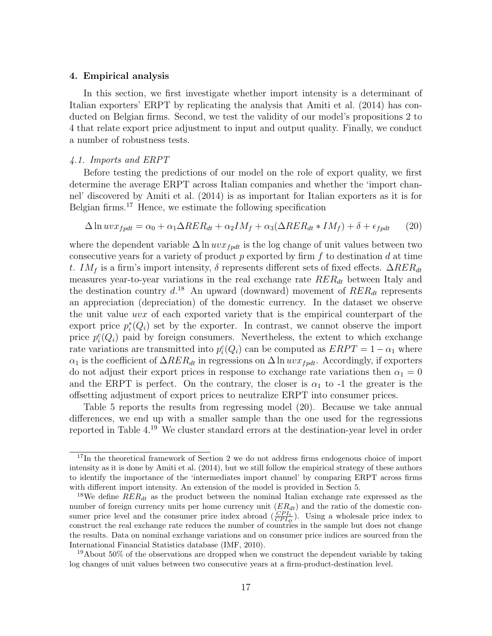#### 4. Empirical analysis

In this section, we first investigate whether import intensity is a determinant of Italian exporters' ERPT by replicating the analysis that Amiti et al. (2014) has conducted on Belgian firms. Second, we test the validity of our model's propositions 2 to 4 that relate export price adjustment to input and output quality. Finally, we conduct a number of robustness tests.

#### 4.1. Imports and ERPT

Before testing the predictions of our model on the role of export quality, we first determine the average ERPT across Italian companies and whether the 'import channel' discovered by Amiti et al. (2014) is as important for Italian exporters as it is for Belgian firms.<sup>17</sup> Hence, we estimate the following specification

$$
\Delta \ln uv x_{fptt} = \alpha_0 + \alpha_1 \Delta R E R_{dt} + \alpha_2 I M_f + \alpha_3 (\Delta R E R_{dt} * I M_f) + \delta + \epsilon_{fptt} \tag{20}
$$

where the dependent variable  $\Delta \ln u v x_{f p d t}$  is the log change of unit values between two consecutive years for a variety of product  $p$  exported by firm  $f$  to destination  $d$  at time t. IM<sub>f</sub> is a firm's import intensity,  $\delta$  represents different sets of fixed effects.  $\Delta RER_{dt}$ measures year-to-year variations in the real exchange rate  $RER_{dt}$  between Italy and the destination country  $d^{18}$  An upward (downward) movement of  $RER_{dt}$  represents an appreciation (depreciation) of the domestic currency. In the dataset we observe the unit value uvx of each exported variety that is the empirical counterpart of the export price  $p_i^*(Q_i)$  set by the exporter. In contrast, we cannot observe the import price  $p_i^c(Q_i)$  paid by foreign consumers. Nevertheless, the extent to which exchange rate variations are transmitted into  $p_i^c(Q_i)$  can be computed as  $ERPT = 1 - \alpha_1$  where  $\alpha_1$  is the coefficient of  $\Delta RER_{dt}$  in regressions on  $\Delta \ln u v x_{f p dt}$ . Accordingly, if exporters do not adjust their export prices in response to exchange rate variations then  $\alpha_1 = 0$ and the ERPT is perfect. On the contrary, the closer is  $\alpha_1$  to -1 the greater is the offsetting adjustment of export prices to neutralize ERPT into consumer prices.

Table 5 reports the results from regressing model (20). Because we take annual differences, we end up with a smaller sample than the one used for the regressions reported in Table 4.<sup>19</sup> We cluster standard errors at the destination-year level in order

<sup>&</sup>lt;sup>17</sup>In the theoretical framework of Section 2 we do not address firms endogenous choice of import intensity as it is done by Amiti et al. (2014), but we still follow the empirical strategy of these authors to identify the importance of the 'intermediates import channel' by comparing ERPT across firms with different import intensity. An extension of the model is provided in Section 5.

<sup>&</sup>lt;sup>18</sup>We define  $RER_{dt}$  as the product between the nominal Italian exchange rate expressed as the number of foreign currency units per home currency unit  $(ER_{dt})$  and the ratio of the domestic consumer price level and the consumer price index abroad  $(\frac{CPI_t}{CPI_{dt}})$ . Using a wholesale price index to construct the real exchange rate reduces the number of countries in the sample but does not change the results. Data on nominal exchange variations and on consumer price indices are sourced from the International Financial Statistics database (IMF, 2010).

<sup>&</sup>lt;sup>19</sup>About 50% of the observations are dropped when we construct the dependent variable by taking log changes of unit values between two consecutive years at a firm-product-destination level.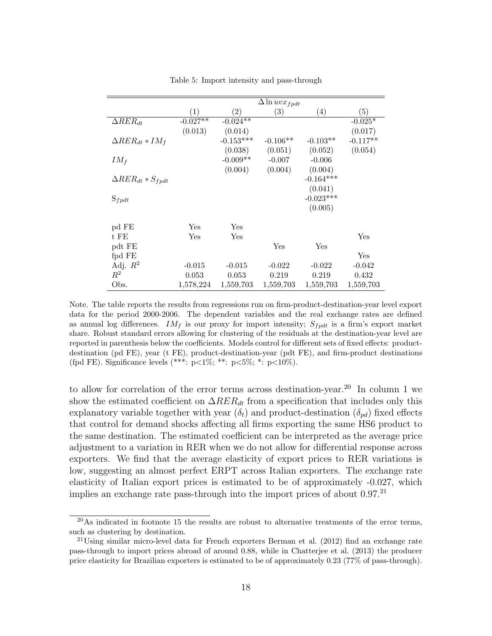|                            |                      |                   | $\Delta$ ln uv $x_{fpdt}$ |             |            |
|----------------------------|----------------------|-------------------|---------------------------|-------------|------------|
|                            | (1)                  | $\left( 2\right)$ | (3)                       | (4)         | (5)        |
| $\Delta RER_{dt}$          | $-0.027**$           | $-0.024**$        |                           |             | $-0.025*$  |
|                            | (0.013)              | (0.014)           |                           |             | (0.017)    |
| $\Delta RER_{dt}*IM_f$     |                      | $-0.153***$       | $-0.106**$                | $-0.103**$  | $-0.117**$ |
|                            |                      | (0.038)           | (0.051)                   | (0.052)     | (0.054)    |
| $IM_f$                     |                      | $-0.009**$        | $-0.007$                  | $-0.006$    |            |
|                            |                      | (0.004)           | (0.004)                   | (0.004)     |            |
| $\Delta RER_{dt}*S_{fpdt}$ |                      |                   |                           | $-0.164***$ |            |
|                            |                      |                   |                           | (0.041)     |            |
| $S_{fpdt}$                 |                      |                   |                           | $-0.023***$ |            |
|                            |                      |                   |                           | (0.005)     |            |
|                            |                      |                   |                           |             |            |
| pd FE                      | $\operatorname{Yes}$ | Yes               |                           |             |            |
| t FE                       | Yes                  | Yes               |                           |             | Yes        |
| pdt FE                     |                      |                   | Yes                       | Yes         |            |
| fpd FE                     |                      |                   |                           |             | Yes        |
| Adj. $R^2$                 | $-0.015$             | $-0.015$          | $-0.022$                  | $-0.022$    | $-0.042$   |
| $\mathbb{R}^2$             | 0.053                | 0.053             | 0.219                     | 0.219       | 0.432      |
| Obs.                       | 1,578,224            | 1,559,703         | 1,559,703                 | 1,559,703   | 1,559,703  |

Table 5: Import intensity and pass-through

Note. The table reports the results from regressions run on firm-product-destination-year level export data for the period 2000-2006. The dependent variables and the real exchange rates are defined as annual log differences.  $IM_f$  is our proxy for import intensity;  $S_{fpdt}$  is a firm's export market share. Robust standard errors allowing for clustering of the residuals at the destination-year level are reported in parenthesis below the coefficients. Models control for different sets of fixed effects: productdestination (pd FE), year (t FE), product-destination-year (pdt FE), and firm-product destinations (fpd FE). Significance levels (\*\*\*:  $p<1\%$ ; \*\*:  $p<5\%$ ; \*:  $p<10\%$ ).

to allow for correlation of the error terms across destination-year.<sup>20</sup> In column 1 we show the estimated coefficient on  $\Delta RER_{dt}$  from a specification that includes only this explanatory variable together with year  $(\delta_t)$  and product-destination  $(\delta_{pd})$  fixed effects that control for demand shocks affecting all firms exporting the same HS6 product to the same destination. The estimated coefficient can be interpreted as the average price adjustment to a variation in RER when we do not allow for differential response across exporters. We find that the average elasticity of export prices to RER variations is low, suggesting an almost perfect ERPT across Italian exporters. The exchange rate elasticity of Italian export prices is estimated to be of approximately -0.027, which implies an exchange rate pass-through into the import prices of about  $0.97^{21}$ 

 $^{20}$ As indicated in footnote 15 the results are robust to alternative treatments of the error terms, such as clustering by destination.

<sup>21</sup>Using similar micro-level data for French exporters Berman et al. (2012) find an exchange rate pass-through to import prices abroad of around 0.88, while in Chatterjee et al. (2013) the producer price elasticity for Brazilian exporters is estimated to be of approximately 0.23 (77% of pass-through).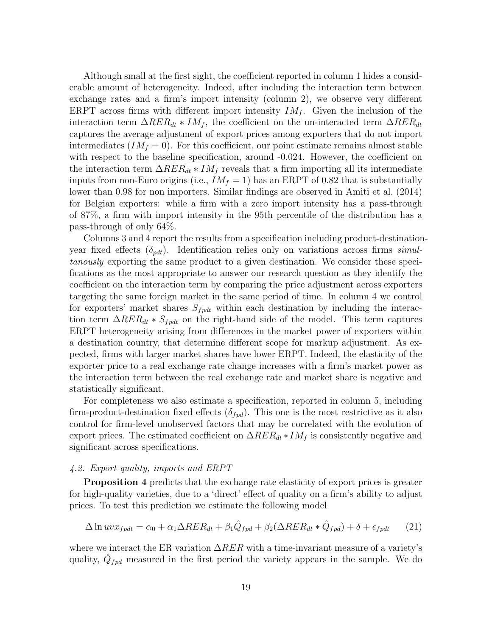Although small at the first sight, the coefficient reported in column 1 hides a considerable amount of heterogeneity. Indeed, after including the interaction term between exchange rates and a firm's import intensity (column 2), we observe very different ERPT across firms with different import intensity  $IM_f$ . Given the inclusion of the interaction term  $\Delta RER_{dt} * IM_f$ , the coefficient on the un-interacted term  $\Delta RER_{dt}$ captures the average adjustment of export prices among exporters that do not import intermediates  $(IM_f = 0)$ . For this coefficient, our point estimate remains almost stable with respect to the baseline specification, around  $-0.024$ . However, the coefficient on the interaction term  $\Delta RER_{dt}*IM_f$  reveals that a firm importing all its intermediate inputs from non-Euro origins (i.e.,  $IM_f = 1$ ) has an ERPT of 0.82 that is substantially lower than 0.98 for non importers. Similar findings are observed in Amiti et al. (2014) for Belgian exporters: while a firm with a zero import intensity has a pass-through of 87%, a firm with import intensity in the 95th percentile of the distribution has a pass-through of only 64%.

Columns 3 and 4 report the results from a specification including product-destinationyear fixed effects  $(\delta_{pdt})$ . Identification relies only on variations across firms simultanously exporting the same product to a given destination. We consider these specifications as the most appropriate to answer our research question as they identify the coefficient on the interaction term by comparing the price adjustment across exporters targeting the same foreign market in the same period of time. In column 4 we control for exporters' market shares  $S_{f p d t}$  within each destination by including the interaction term  $\Delta RER_{dt}$  ∗  $S_{fpdt}$  on the right-hand side of the model. This term captures ERPT heterogeneity arising from differences in the market power of exporters within a destination country, that determine different scope for markup adjustment. As expected, firms with larger market shares have lower ERPT. Indeed, the elasticity of the exporter price to a real exchange rate change increases with a firm's market power as the interaction term between the real exchange rate and market share is negative and statistically significant.

For completeness we also estimate a specification, reported in column 5, including firm-product-destination fixed effects  $(\delta_{fpd})$ . This one is the most restrictive as it also control for firm-level unobserved factors that may be correlated with the evolution of export prices. The estimated coefficient on  $\Delta RER_{dt}*IM_f$  is consistently negative and significant across specifications.

### 4.2. Export quality, imports and ERPT

Proposition 4 predicts that the exchange rate elasticity of export prices is greater for high-quality varieties, due to a 'direct' effect of quality on a firm's ability to adjust prices. To test this prediction we estimate the following model

$$
\Delta \ln uv x_{fpdt} = \alpha_0 + \alpha_1 \Delta RER_{dt} + \beta_1 \hat{Q}_{fpd} + \beta_2 (\Delta RER_{dt} * \hat{Q}_{fpd}) + \delta + \epsilon_{fpdt}
$$
(21)

where we interact the ER variation  $\Delta RER$  with a time-invariant measure of a variety's quality,  $\hat{Q}_{fpd}$  measured in the first period the variety appears in the sample. We do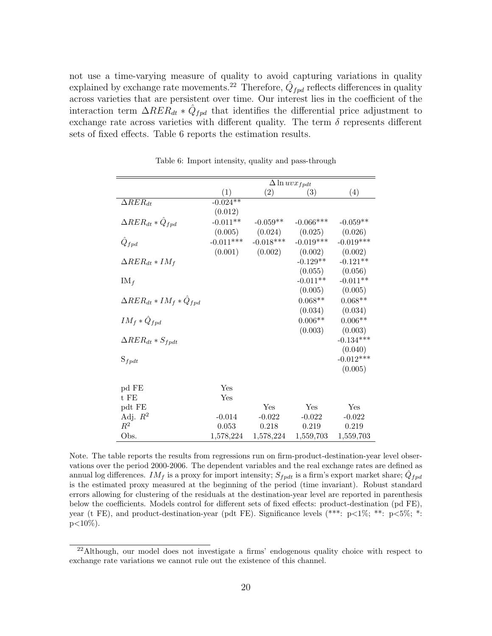not use a time-varying measure of quality to avoid capturing variations in quality explained by exchange rate movements.<sup>22</sup> Therefore,  $\hat{Q}_{fpd}$  reflects differences in quality across varieties that are persistent over time. Our interest lies in the coefficient of the interaction term  $\Delta RER_{dt} * \hat{Q}_{fpd}$  that identifies the differential price adjustment to exchange rate across varieties with different quality. The term  $\delta$  represents different sets of fixed effects. Table 6 reports the estimation results.

|                                      | $\Delta \ln uv x_{fpdt}$ |                   |                    |             |  |
|--------------------------------------|--------------------------|-------------------|--------------------|-------------|--|
|                                      | $\left(1\right)$         | $\left( 2\right)$ | (3)                | (4)         |  |
| $\Delta RER_{dt}$                    | $-0.024**$               |                   |                    |             |  |
|                                      | (0.012)                  |                   |                    |             |  |
| $\Delta RER_{dt} * \hat{Q}_{fpd}$    | $-0.011**$               | $-0.059**$        | $-0.066***$        | $-0.059**$  |  |
|                                      | (0.005)                  | (0.024)           | (0.025)            | (0.026)     |  |
| $\ddot{Q}_{fpd}$                     | $-0.011***$              | $-0.018***$       | $-0.019***$        | $-0.019***$ |  |
|                                      | (0.001)                  | (0.002)           | (0.002)            | (0.002)     |  |
| $\Delta RER_{dt}*IM_f$               |                          |                   | $-0.129**$         | $-0.121**$  |  |
|                                      |                          |                   | (0.055)            | (0.056)     |  |
| $IM_f$                               |                          |                   | $-0.011**$         | $-0.011**$  |  |
|                                      |                          |                   | (0.005)            | (0.005)     |  |
| $\Delta RER_{dt}*IM_f*\hat{Q}_{fpd}$ |                          |                   | $0.068^{\ast\ast}$ | $0.068**$   |  |
|                                      |                          |                   | (0.034)            | (0.034)     |  |
| $IM_f * \hat{Q}_{fpd}$               |                          |                   | $0.006**$          | $0.006**$   |  |
|                                      |                          |                   | (0.003)            | (0.003)     |  |
| $\Delta RER_{dt}*S_{fpdt}$           |                          |                   |                    | $-0.134***$ |  |
|                                      |                          |                   |                    | (0.040)     |  |
| $S_{f\rho dt}$                       |                          |                   |                    | $-0.012***$ |  |
|                                      |                          |                   |                    | (0.005)     |  |
| pd FE                                | Yes                      |                   |                    |             |  |
| t FE                                 | Yes                      |                   |                    |             |  |
| pdt FE                               |                          | Yes               | Yes                | Yes         |  |
| Adj. $R^2$                           | $-0.014$                 | $-0.022$          | $-0.022$           | $-0.022$    |  |
| $\,R^2$                              | 0.053                    | 0.218             | 0.219              | 0.219       |  |
| Obs.                                 | 1,578,224                | 1,578,224         | $1,\!559,\!703$    | 1,559,703   |  |

Table 6: Import intensity, quality and pass-through

Note. The table reports the results from regressions run on firm-product-destination-year level observations over the period 2000-2006. The dependent variables and the real exchange rates are defined as annual log differences. IMf is a proxy for import intensity;  $S_{fpdt}$  is a firm's export market share;  $\hat{Q}_{fpd}$ is the estimated proxy measured at the beginning of the period (time invariant). Robust standard errors allowing for clustering of the residuals at the destination-year level are reported in parenthesis below the coefficients. Models control for different sets of fixed effects: product-destination (pd FE), year (t FE), and product-destination-year (pdt FE). Significance levels (\*\*\*:  $p\lt 1\%$ ; \*\*:  $p\lt 5\%$ ; \*:  $p<10\%$ ).

<sup>&</sup>lt;sup>22</sup>Although, our model does not investigate a firms' endogenous quality choice with respect to exchange rate variations we cannot rule out the existence of this channel.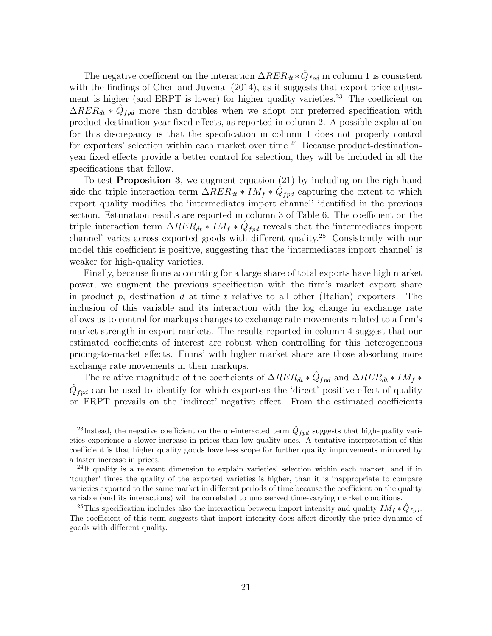The negative coefficient on the interaction  $\Delta RER_{dt} * \hat{Q}_{fpd}$  in column 1 is consistent with the findings of Chen and Juvenal (2014), as it suggests that export price adjustment is higher (and ERPT is lower) for higher quality varieties.<sup>23</sup> The coefficient on  $\Delta RER_{dt} * \hat{Q}_{fpd}$  more than doubles when we adopt our preferred specification with product-destination-year fixed effects, as reported in column 2. A possible explanation for this discrepancy is that the specification in column 1 does not properly control for exporters' selection within each market over time.<sup>24</sup> Because product-destinationyear fixed effects provide a better control for selection, they will be included in all the specifications that follow.

To test Proposition 3, we augment equation (21) by including on the righ-hand side the triple interaction term  $\Delta RER_{dt}*IM_f*\hat{Q}_{fpd}$  capturing the extent to which export quality modifies the 'intermediates import channel' identified in the previous section. Estimation results are reported in column 3 of Table 6. The coefficient on the triple interaction term  $\Delta RER_{dt}*IM_f*\hat{Q}_{fpd}$  reveals that the 'intermediates import channel' varies across exported goods with different quality.<sup>25</sup> Consistently with our model this coefficient is positive, suggesting that the 'intermediates import channel' is weaker for high-quality varieties.

Finally, because firms accounting for a large share of total exports have high market power, we augment the previous specification with the firm's market export share in product p, destination d at time t relative to all other (Italian) exporters. The inclusion of this variable and its interaction with the log change in exchange rate allows us to control for markups changes to exchange rate movements related to a firm's market strength in export markets. The results reported in column 4 suggest that our estimated coefficients of interest are robust when controlling for this heterogeneous pricing-to-market effects. Firms' with higher market share are those absorbing more exchange rate movements in their markups.

The relative magnitude of the coefficients of  $\Delta RER_{dt} * \hat{Q}_{fpd}$  and  $\Delta RER_{dt} * IM_f *$  $\hat{Q}_{fpd}$  can be used to identify for which exporters the 'direct' positive effect of quality on ERPT prevails on the 'indirect' negative effect. From the estimated coefficients

<sup>&</sup>lt;sup>23</sup>Instead, the negative coefficient on the un-interacted term  $\hat{Q}_{fpd}$  suggests that high-quality varieties experience a slower increase in prices than low quality ones. A tentative interpretation of this coefficient is that higher quality goods have less scope for further quality improvements mirrored by a faster increase in prices.

<sup>&</sup>lt;sup>24</sup>If quality is a relevant dimension to explain varieties' selection within each market, and if in 'tougher' times the quality of the exported varieties is higher, than it is inappropriate to compare varieties exported to the same market in different periods of time because the coefficient on the quality variable (and its interactions) will be correlated to unobserved time-varying market conditions.

<sup>&</sup>lt;sup>25</sup>This specification includes also the interaction between import intensity and quality  $IM_f * \hat{Q}_{fpd}$ . The coefficient of this term suggests that import intensity does affect directly the price dynamic of goods with different quality.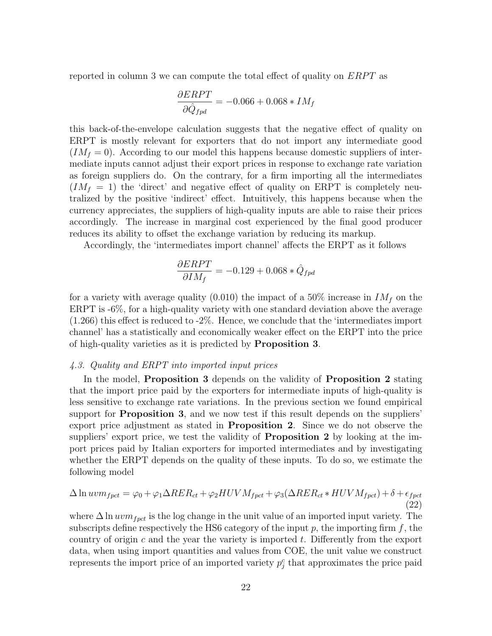reported in column 3 we can compute the total effect of quality on  $ERPT$  as

$$
\frac{\partial ERPT}{\partial \hat{Q}_{fpd}} = -0.066 + 0.068 * IM_f
$$

this back-of-the-envelope calculation suggests that the negative effect of quality on ERPT is mostly relevant for exporters that do not import any intermediate good  $(IM_f = 0)$ . According to our model this happens because domestic suppliers of intermediate inputs cannot adjust their export prices in response to exchange rate variation as foreign suppliers do. On the contrary, for a firm importing all the intermediates  $(IM_f = 1)$  the 'direct' and negative effect of quality on ERPT is completely neutralized by the positive 'indirect' effect. Intuitively, this happens because when the currency appreciates, the suppliers of high-quality inputs are able to raise their prices accordingly. The increase in marginal cost experienced by the final good producer reduces its ability to offset the exchange variation by reducing its markup.

Accordingly, the 'intermediates import channel' affects the ERPT as it follows

$$
\frac{\partial ERPT}{\partial IM_f}=-0.129+0.068*\hat{Q}_{fpd}
$$

for a variety with average quality (0.010) the impact of a 50% increase in  $IM<sub>f</sub>$  on the ERPT is -6%, for a high-quality variety with one standard deviation above the average (1.266) this effect is reduced to -2%. Hence, we conclude that the 'intermediates import channel' has a statistically and economically weaker effect on the ERPT into the price of high-quality varieties as it is predicted by Proposition 3.

## 4.3. Quality and ERPT into imported input prices

In the model, Proposition 3 depends on the validity of Proposition 2 stating that the import price paid by the exporters for intermediate inputs of high-quality is less sensitive to exchange rate variations. In the previous section we found empirical support for Proposition 3, and we now test if this result depends on the suppliers' export price adjustment as stated in Proposition 2. Since we do not observe the suppliers' export price, we test the validity of **Proposition 2** by looking at the import prices paid by Italian exporters for imported intermediates and by investigating whether the ERPT depends on the quality of these inputs. To do so, we estimate the following model

$$
\Delta \ln uvm_{fpct} = \varphi_0 + \varphi_1 \Delta RER_{ct} + \varphi_2 HUVM_{fpct} + \varphi_3(\Delta RER_{ct} * HUVM_{fpct}) + \delta + \epsilon_{fpct}
$$
\n(22)

where  $\Delta \ln u v m_{f pct}$  is the log change in the unit value of an imported input variety. The subscripts define respectively the HS6 category of the input  $p$ , the importing firm  $f$ , the country of origin c and the year the variety is imported t. Differently from the export data, when using import quantities and values from COE, the unit value we construct represents the import price of an imported variety  $p_j^c$  that approximates the price paid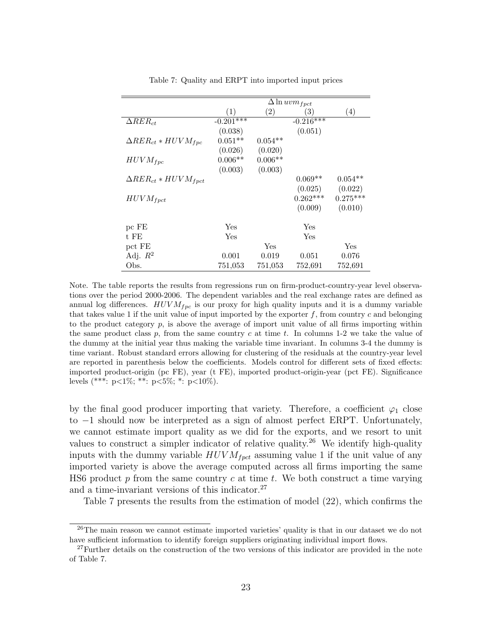|                                  | $\Delta$ ln $uvm_{fpt}$ |              |             |            |
|----------------------------------|-------------------------|--------------|-------------|------------|
|                                  | (1)                     | (2)          | (3)         | (4)        |
| $\Delta RER_{ct}$                | $-0.201***$             |              | $-0.216***$ |            |
|                                  | (0.038)                 |              | (0.051)     |            |
| $\Delta RER_{ct}*HUVM_{fpc}$     | $0.051**$               | $0.054**$    |             |            |
|                                  | (0.026)                 | (0.020)      |             |            |
| $HUVM_{fpc}$                     | $0.006**$               | $0.006**$    |             |            |
|                                  | (0.003)                 | (0.003)      |             |            |
| $\Delta RER_{ct}*HUVM_{f\nptct}$ |                         |              | $0.069**$   | $0.054**$  |
|                                  |                         |              | (0.025)     | (0.022)    |
| $HUVM_{fptt}$                    |                         |              | $0.262***$  | $0.275***$ |
|                                  |                         |              | (0.009)     | (0.010)    |
| pc FE                            | Yes                     |              | Yes         |            |
| t FE                             | Yes                     |              | Yes         |            |
| pct FE                           |                         | $_{\rm Yes}$ |             | Yes        |
| Adj. $R^2$                       | 0.001                   | 0.019        | 0.051       | 0.076      |
| Obs.                             | 751,053                 | 751,053      | 752,691     | 752,691    |

Table 7: Quality and ERPT into imported input prices

Note. The table reports the results from regressions run on firm-product-country-year level observations over the period 2000-2006. The dependent variables and the real exchange rates are defined as annual log differences.  $HUVM_{fpc}$  is our proxy for high quality inputs and it is a dummy variable that takes value 1 if the unit value of input imported by the exporter  $f$ , from country  $c$  and belonging to the product category  $p$ , is above the average of import unit value of all firms importing within the same product class  $p$ , from the same country  $c$  at time  $t$ . In columns 1-2 we take the value of the dummy at the initial year thus making the variable time invariant. In columns 3-4 the dummy is time variant. Robust standard errors allowing for clustering of the residuals at the country-year level are reported in parenthesis below the coefficients. Models control for different sets of fixed effects: imported product-origin (pc FE), year (t FE), imported product-origin-year (pct FE). Significance levels (\*\*\*: p<1%; \*\*: p<5%; \*: p<10%).

by the final good producer importing that variety. Therefore, a coefficient  $\varphi_1$  close to −1 should now be interpreted as a sign of almost perfect ERPT. Unfortunately, we cannot estimate import quality as we did for the exports, and we resort to unit values to construct a simpler indicator of relative quality.<sup>26</sup> We identify high-quality inputs with the dummy variable  $HUVM_{fpt}$  assuming value 1 if the unit value of any imported variety is above the average computed across all firms importing the same HS6 product p from the same country c at time t. We both construct a time varying and a time-invariant versions of this indicator. $27$ 

Table 7 presents the results from the estimation of model (22), which confirms the

<sup>&</sup>lt;sup>26</sup>The main reason we cannot estimate imported varieties' quality is that in our dataset we do not have sufficient information to identify foreign suppliers originating individual import flows.

<sup>&</sup>lt;sup>27</sup>Further details on the construction of the two versions of this indicator are provided in the note of Table 7.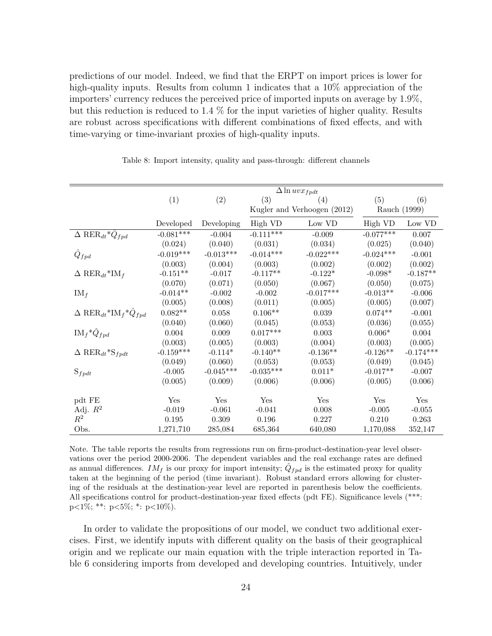predictions of our model. Indeed, we find that the ERPT on import prices is lower for high-quality inputs. Results from column 1 indicates that a  $10\%$  appreciation of the importers' currency reduces the perceived price of imported inputs on average by 1.9%, but this reduction is reduced to 1.4 % for the input varieties of higher quality. Results are robust across specifications with different combinations of fixed effects, and with time-varying or time-invariant proxies of high-quality inputs.

|                                                               | $\Delta \ln uv x_{fpdt}$ |             |             |                             |              |             |
|---------------------------------------------------------------|--------------------------|-------------|-------------|-----------------------------|--------------|-------------|
|                                                               | (1)                      | (2)         | (3)         | (4)                         | (5)          | (6)         |
|                                                               |                          |             |             | Kugler and Verhoogen (2012) | Rauch (1999) |             |
|                                                               | Developed                | Developing  | High VD     | Low VD                      | High VD      | Low VD      |
| $\overline{\Delta}$ RER <sub>dt</sub> * $\hat{Q}_{fpd}$       | $-0.081***$              | $-0.004$    | $-0.111***$ | $-0.009$                    | $-0.077***$  | 0.007       |
|                                                               | (0.024)                  | (0.040)     | (0.031)     | (0.034)                     | (0.025)      | (0.040)     |
| $\hat{Q}_{fpd}$                                               | $-0.019***$              | $-0.013***$ | $-0.014***$ | $-0.022***$                 | $-0.024***$  | $-0.001$    |
|                                                               | (0.003)                  | (0.004)     | (0.003)     | (0.002)                     | (0.002)      | (0.002)     |
| $\Delta$ RER <sub>dt</sub> *IM <sub>f</sub>                   | $-0.151**$               | $-0.017$    | $-0.117**$  | $-0.122*$                   | $-0.098*$    | $-0.187**$  |
|                                                               | (0.070)                  | (0.071)     | (0.050)     | (0.067)                     | (0.050)      | (0.075)     |
| $IM_f$                                                        | $-0.014**$               | $-0.002$    | $-0.002$    | $-0.017***$                 | $-0.013**$   | $-0.006$    |
|                                                               | (0.005)                  | (0.008)     | (0.011)     | (0.005)                     | (0.005)      | (0.007)     |
| $\Delta$ RER <sub>dt</sub> *IM <sub>f</sub> * $\hat{Q}_{fpd}$ | $0.082**$                | 0.058       | $0.106**$   | 0.039                       | $0.074**$    | $-0.001$    |
|                                                               | (0.040)                  | (0.060)     | (0.045)     | (0.053)                     | (0.036)      | (0.055)     |
| $\mathrm{IM}_{f} \ast \hat{Q}_{fpd}$                          | 0.004                    | 0.009       | $0.017***$  | 0.003                       | $0.006*$     | 0.004       |
|                                                               | (0.003)                  | (0.005)     | (0.003)     | (0.004)                     | (0.003)      | (0.005)     |
| $\Delta$ RER <sub>dt</sub> *S <sub>fpdt</sub>                 | $-0.159***$              | $-0.114*$   | $-0.140**$  | $-0.136**$                  | $-0.126**$   | $-0.174***$ |
|                                                               | (0.049)                  | (0.060)     | (0.053)     | (0.053)                     | (0.049)      | (0.045)     |
| $S_{fpdt}$                                                    | $-0.005$                 | $-0.045***$ | $-0.035***$ | $0.011*$                    | $-0.017**$   | $-0.007$    |
|                                                               | (0.005)                  | (0.009)     | (0.006)     | (0.006)                     | (0.005)      | (0.006)     |
|                                                               |                          |             |             |                             |              |             |
| pdt FE                                                        | Yes                      | Yes         | Yes         | Yes                         | Yes          | Yes         |
| Adj. $R^2$                                                    | $-0.019$                 | $-0.061$    | $-0.041$    | 0.008                       | $-0.005$     | $-0.055$    |
| $\mathbb{R}^2$                                                | 0.195                    | $0.309\,$   | 0.196       | 0.227                       | 0.210        | 0.263       |
| Obs.                                                          | 1,271,710                | 285,084     | 685,364     | 640,080                     | 1,170,088    | 352,147     |

Table 8: Import intensity, quality and pass-through: different channels

Note. The table reports the results from regressions run on firm-product-destination-year level observations over the period 2000-2006. The dependent variables and the real exchange rates are defined as annual differences.  $IM_f$  is our proxy for import intensity;  $\hat{Q}_{fpd}$  is the estimated proxy for quality taken at the beginning of the period (time invariant). Robust standard errors allowing for clustering of the residuals at the destination-year level are reported in parenthesis below the coefficients. All specifications control for product-destination-year fixed effects (pdt FE). Significance levels (\*\*\*: p<1%; \*\*:  $p<5\%$ ; \*:  $p<10\%$ ).

In order to validate the propositions of our model, we conduct two additional exercises. First, we identify inputs with different quality on the basis of their geographical origin and we replicate our main equation with the triple interaction reported in Table 6 considering imports from developed and developing countries. Intuitively, under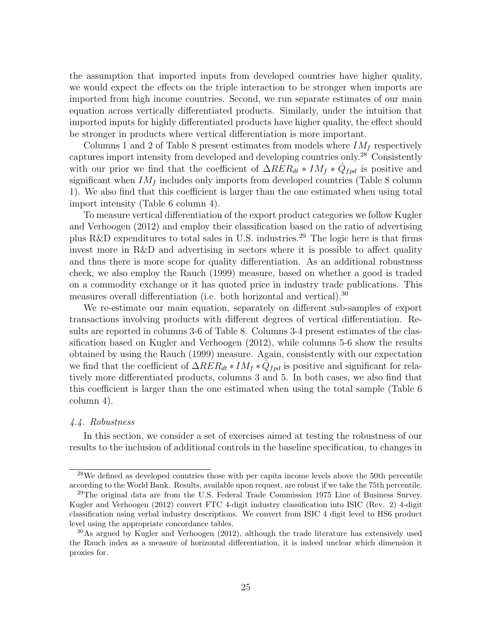the assumption that imported inputs from developed countries have higher quality, we would expect the effects on the triple interaction to be stronger when imports are imported from high income countries. Second, we run separate estimates of our main equation across vertically differentiated products. Similarly, under the intuition that imported inputs for highly differentiated products have higher quality, the effect should be stronger in products where vertical differentiation is more important.

Columns 1 and 2 of Table 8 present estimates from models where  $IM<sub>f</sub>$  respectively captures import intensity from developed and developing countries only.<sup>28</sup> Consistently with our prior we find that the coefficient of  $\Delta RER_{dt} * IM_f * \hat{Q}_{fpd}$  is positive and significant when  $IM_f$  includes only imports from developed countries (Table 8 column 1). We also find that this coefficient is larger than the one estimated when using total import intensity (Table 6 column 4).

To measure vertical differentiation of the export product categories we follow Kugler and Verhoogen (2012) and employ their classification based on the ratio of advertising plus R&D expenditures to total sales in U.S. industries.<sup>29</sup> The logic here is that firms invest more in R&D and advertising in sectors where it is possible to affect quality and thus there is more scope for quality differentiation. As an additional robustness check, we also employ the Rauch (1999) measure, based on whether a good is traded on a commodity exchange or it has quoted price in industry trade publications. This measures overall differentiation (i.e. both horizontal and vertical).<sup>30</sup>

We re-estimate our main equation, separately on different sub-samples of export transactions involving products with different degrees of vertical differentiation. Results are reported in columns 3-6 of Table 8. Columns 3-4 present estimates of the classification based on Kugler and Verhoogen (2012), while columns 5-6 show the results obtained by using the Rauch (1999) measure. Again, consistently with our expectation we find that the coefficient of  $\Delta RER_{dt}*IM_f*\tilde{Q}_{fpd}$  is positive and significant for relatively more differentiated products, columns 3 and 5. In both cases, we also find that this coefficient is larger than the one estimated when using the total sample (Table 6 column 4).

## 4.4. Robustness

In this section, we consider a set of exercises aimed at testing the robustness of our results to the inclusion of additional controls in the baseline specification, to changes in

<sup>&</sup>lt;sup>28</sup>We defined as developed countries those with per capita income levels above the 50th percentile according to the World Bank. Results, available upon request, are robust if we take the 75th percentile.

 $^{29}$ The original data are from the U.S. Federal Trade Commission 1975 Line of Business Survey. Kugler and Verhoogen (2012) convert FTC 4-digit industry classification into ISIC (Rev. 2) 4-digit classification using verbal industry descriptions. We convert from ISIC 4 digit level to HS6 product level using the appropriate concordance tables.

 $30\text{As}$  argued by Kugler and Verhoogen (2012), although the trade literature has extensively used the Rauch index as a measure of horizontal differentiation, it is indeed unclear which dimension it proxies for.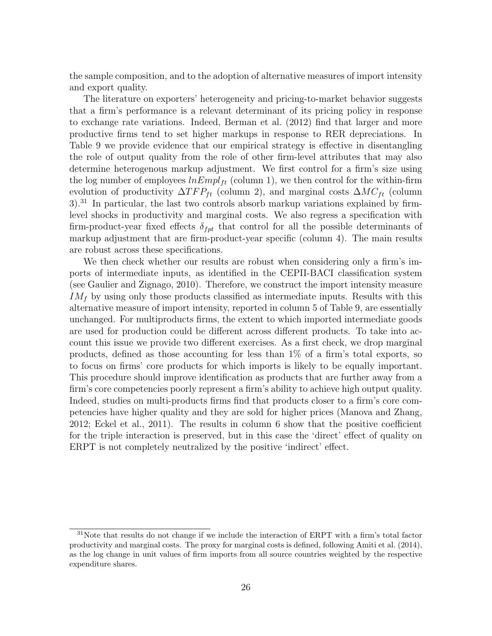the sample composition, and to the adoption of alternative measures of import intensity and export quality.

The literature on exporters' heterogeneity and pricing-to-market behavior suggests that a firm's performance is a relevant determinant of its pricing policy in response to exchange rate variations. Indeed, Berman et al. (2012) find that larger and more productive firms tend to set higher markups in response to RER depreciations. In Table 9 we provide evidence that our empirical strategy is effective in disentangling the role of output quality from the role of other firm-level attributes that may also determine heterogenous markup adjustment. We first control for a firm's size using the log number of employees  $lnEmpl_{ft}$  (column 1), we then control for the within-firm evolution of productivity  $\Delta TFP_{ft}$  (column 2), and marginal costs  $\Delta MC_{ft}$  (column 3).<sup>31</sup> In particular, the last two controls absorb markup variations explained by firmlevel shocks in productivity and marginal costs. We also regress a specification with firm-product-year fixed effects  $\delta_{fpt}$  that control for all the possible determinants of markup adjustment that are firm-product-year specific (column 4). The main results are robust across these specifications.

We then check whether our results are robust when considering only a firm's imports of intermediate inputs, as identified in the CEPII-BACI classification system (see Gaulier and Zignago, 2010). Therefore, we construct the import intensity measure  $IM<sub>f</sub>$  by using only those products classified as intermediate inputs. Results with this alternative measure of import intensity, reported in column 5 of Table 9, are essentially unchanged. For multiproducts firms, the extent to which imported intermediate goods are used for production could be different across different products. To take into account this issue we provide two different exercises. As a first check, we drop marginal products, defined as those accounting for less than 1% of a firm's total exports, so to focus on firms' core products for which imports is likely to be equally important. This procedure should improve identification as products that are further away from a firm's core competencies poorly represent a firm's ability to achieve high output quality. Indeed, studies on multi-products firms find that products closer to a firm's core competencies have higher quality and they are sold for higher prices (Manova and Zhang, 2012; Eckel et al., 2011). The results in column 6 show that the positive coefficient for the triple interaction is preserved, but in this case the 'direct' effect of quality on ERPT is not completely neutralized by the positive 'indirect' effect.

<sup>&</sup>lt;sup>31</sup>Note that results do not change if we include the interaction of ERPT with a firm's total factor productivity and marginal costs. The proxy for marginal costs is defined, following Amiti et al. (2014), as the log change in unit values of firm imports from all source countries weighted by the respective expenditure shares.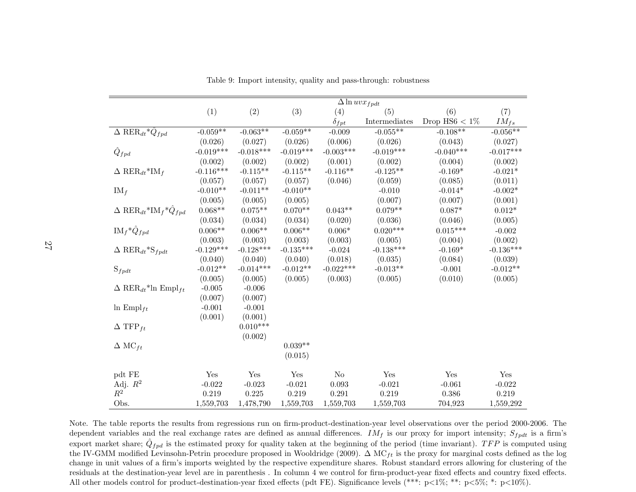|                                                               | $\Delta$ ln $uvx_{fpdt}$ |             |             |                |               |                  |             |
|---------------------------------------------------------------|--------------------------|-------------|-------------|----------------|---------------|------------------|-------------|
|                                                               | (1)                      | (2)         | (3)         | (4)            | (5)           | (6)              | (7)         |
|                                                               |                          |             |             | $\delta_{fpt}$ | Intermediates | Drop $HSS < 1\%$ | $IM_{fs}$   |
| $\Delta$ RER <sub>dt</sub> * $\hat{Q}_{fpd}$                  | $-0.059**$               | $-0.063**$  | $-0.059**$  | $-0.009$       | $-0.055**$    | $-0.108**$       | $-0.056**$  |
|                                                               | (0.026)                  | (0.027)     | (0.026)     | (0.006)        | (0.026)       | (0.043)          | (0.027)     |
| $\hat{Q}_{fpd}$                                               | $-0.019***$              | $-0.018***$ | $-0.019***$ | $-0.003***$    | $-0.019***$   | $-0.040***$      | $-0.017***$ |
|                                                               | (0.002)                  | (0.002)     | (0.002)     | (0.001)        | (0.002)       | (0.004)          | (0.002)     |
| $\Delta$ RER <sub>dt</sub> *IM <sub>f</sub>                   | $-0.116***$              | $-0.115**$  | $-0.115**$  | $-0.116**$     | $-0.125**$    | $-0.169*$        | $-0.021*$   |
|                                                               | (0.057)                  | (0.057)     | (0.057)     | (0.046)        | (0.059)       | (0.085)          | (0.011)     |
| $IM_f$                                                        | $-0.010**$               | $-0.011**$  | $-0.010**$  |                | $-0.010$      | $-0.014*$        | $-0.002*$   |
|                                                               | (0.005)                  | (0.005)     | (0.005)     |                | (0.007)       | (0.007)          | (0.001)     |
| $\Delta$ RER <sub>dt</sub> *IM <sub>f</sub> * $\hat{Q}_{fpd}$ | $0.068**$                | $0.075**$   | $0.070**$   | $0.043**$      | $0.079**$     | $0.087*$         | $0.012*$    |
|                                                               | (0.034)                  | (0.034)     | (0.034)     | (0.020)        | (0.036)       | (0.046)          | (0.005)     |
| $IM_f \ast \hat{Q}_{fpd}$                                     | $0.006**$                | $0.006**$   | $0.006**$   | $0.006*$       | $0.020***$    | $0.015***$       | $-0.002$    |
|                                                               | (0.003)                  | (0.003)     | (0.003)     | (0.003)        | (0.005)       | (0.004)          | (0.002)     |
| $\Delta$ RER <sub>dt</sub> *S <sub>fpdt</sub>                 | $-0.129***$              | $-0.128***$ | $-0.135***$ | $-0.024$       | $-0.138***$   | $-0.169*$        | $-0.136***$ |
|                                                               | (0.040)                  | (0.040)     | (0.040)     | (0.018)        | (0.035)       | (0.084)          | (0.039)     |
| $S_{fpdt}$                                                    | $-0.012**$               | $-0.014***$ | $-0.012**$  | $-0.022***$    | $-0.013**$    | $-0.001$         | $-0.012**$  |
|                                                               | (0.005)                  | (0.005)     | (0.005)     | (0.003)        | (0.005)       | (0.010)          | (0.005)     |
| $\Delta$ RER <sub>dt</sub> <sup>*</sup> ln Empl <sub>ft</sub> | $-0.005$                 | $-0.006$    |             |                |               |                  |             |
|                                                               | (0.007)                  | (0.007)     |             |                |               |                  |             |
| $\ln \text{Empl}_{ft}$                                        | $-0.001$                 | $-0.001$    |             |                |               |                  |             |
|                                                               | (0.001)                  | (0.001)     |             |                |               |                  |             |
| $\Delta$ TFP <sub>ft</sub>                                    |                          | $0.010***$  |             |                |               |                  |             |
|                                                               |                          | (0.002)     |             |                |               |                  |             |
| $\Delta \text{ MC}_{ft}$                                      |                          |             | $0.039**$   |                |               |                  |             |
|                                                               |                          |             | (0.015)     |                |               |                  |             |
| pdt FE                                                        | Yes                      | Yes         | Yes         | $\rm No$       | Yes           | Yes              | Yes         |
| Adj. $R^2$                                                    | $-0.022$                 | $-0.023$    | $-0.021$    | 0.093          | $-0.021$      | $-0.061$         | $-0.022$    |
| $\mathbb{R}^2$                                                | 0.219                    | 0.225       | 0.219       | 0.291          | 0.219         | 0.386            | 0.219       |
| Obs.                                                          | 1,559,703                | 1,478,790   | 1,559,703   | 1,559,703      | 1,559,703     | 704,923          | 1,559,292   |

Table 9: Import intensity, quality and pass-through: robustness

Note. The table reports the results from regressions run on firm-product-destination-year level observations over the period 2000-2006. Thedependent variables and the real exchange rates are defined as annual differences.  $IM_f$  is our proxy for import intensity;  $S_{fpdt}$  is a firm's export market share;  $\hat{Q}_{fpd}$  is the estimated proxy for quality taken at the beginning of the period (time invariant). TFP is computed using the IV-GMM modified Levinsohn-Petrin procedure proposed in Wooldridge (2009).  $\Delta \text{ MC}_{ft}$  is the proxy for marginal costs defined as the log change in unit values of <sup>a</sup> firm's imports weighted by the respective expenditure shares. Robust standard errors allowing for clustering of the residuals at the destination-year level are in parenthesis . In column 4 we control for firm-product-year fixed effects and country fixed effects.All other models control for product-destination-year fixed effects (pdt FE). Significance levels (\*\*\*: <sup>p</sup><sup>&</sup>lt;1%; \*\*: <sup>p</sup><sup>&</sup>lt;5%; \*: <sup>p</sup><sup>&</sup>lt;10%).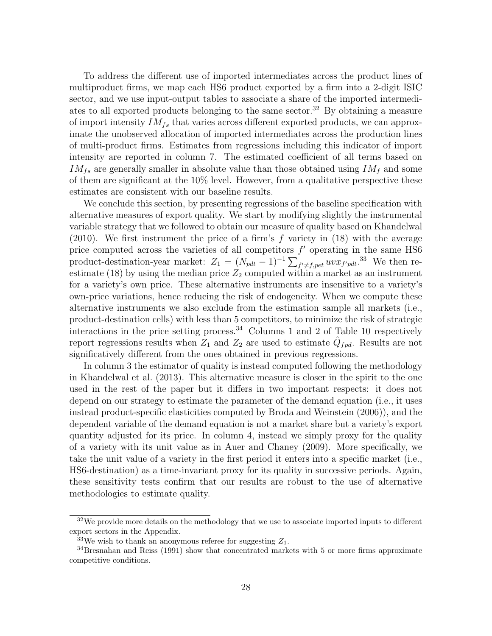To address the different use of imported intermediates across the product lines of multiproduct firms, we map each HS6 product exported by a firm into a 2-digit ISIC sector, and we use input-output tables to associate a share of the imported intermediates to all exported products belonging to the same sector.<sup>32</sup> By obtaining a measure of import intensity  $IM_{fs}$  that varies across different exported products, we can approximate the unobserved allocation of imported intermediates across the production lines of multi-product firms. Estimates from regressions including this indicator of import intensity are reported in column 7. The estimated coefficient of all terms based on  $IM_{fs}$  are generally smaller in absolute value than those obtained using  $IM_f$  and some of them are significant at the 10% level. However, from a qualitative perspective these estimates are consistent with our baseline results.

We conclude this section, by presenting regressions of the baseline specification with alternative measures of export quality. We start by modifying slightly the instrumental variable strategy that we followed to obtain our measure of quality based on Khandelwal (2010). We first instrument the price of a firm's  $f$  variety in (18) with the average price computed across the varieties of all competitors  $f'$  operating in the same HS6 product-destination-year market:  $Z_1 = (N_{pdt} - 1)^{-1} \sum_{f' \neq f, pet} uv x_{f'pdt}.$ <sup>33</sup> We then reestimate (18) by using the median price  $Z_2$  computed within a market as an instrument for a variety's own price. These alternative instruments are insensitive to a variety's own-price variations, hence reducing the risk of endogeneity. When we compute these alternative instruments we also exclude from the estimation sample all markets (i.e., product-destination cells) with less than 5 competitors, to minimize the risk of strategic interactions in the price setting process.<sup>34</sup> Columns 1 and 2 of Table 10 respectively report regressions results when  $Z_1$  and  $Z_2$  are used to estimate  $\hat{Q}_{fpd}$ . Results are not significatively different from the ones obtained in previous regressions.

In column 3 the estimator of quality is instead computed following the methodology in Khandelwal et al. (2013). This alternative measure is closer in the spirit to the one used in the rest of the paper but it differs in two important respects: it does not depend on our strategy to estimate the parameter of the demand equation (i.e., it uses instead product-specific elasticities computed by Broda and Weinstein (2006)), and the dependent variable of the demand equation is not a market share but a variety's export quantity adjusted for its price. In column 4, instead we simply proxy for the quality of a variety with its unit value as in Auer and Chaney (2009). More specifically, we take the unit value of a variety in the first period it enters into a specific market (i.e., HS6-destination) as a time-invariant proxy for its quality in successive periods. Again, these sensitivity tests confirm that our results are robust to the use of alternative methodologies to estimate quality.

<sup>&</sup>lt;sup>32</sup>We provide more details on the methodology that we use to associate imported inputs to different export sectors in the Appendix.

<sup>&</sup>lt;sup>33</sup>We wish to thank an anonymous referee for suggesting  $Z_1$ .

<sup>&</sup>lt;sup>34</sup>Bresnahan and Reiss (1991) show that concentrated markets with 5 or more firms approximate competitive conditions.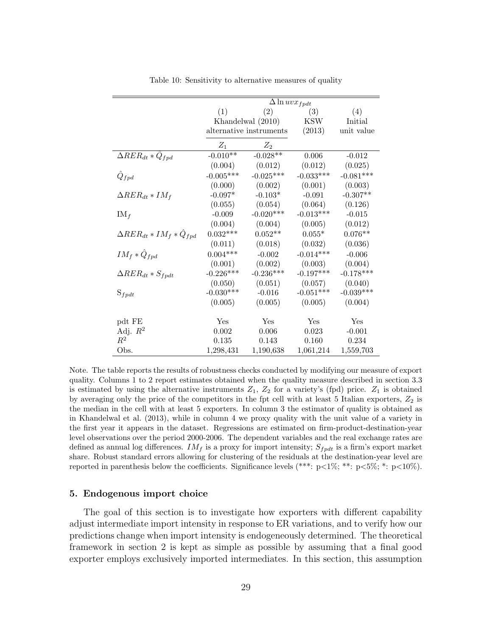|                                      |                 | $\Delta \ln uv x_{fpdt}$ |             |             |  |
|--------------------------------------|-----------------|--------------------------|-------------|-------------|--|
|                                      | (1)             | (2)                      | (3)         | (4)         |  |
|                                      |                 | Khandelwal (2010)        | KSW         | Initial     |  |
|                                      |                 | alternative instruments  | (2013)      | unit value  |  |
|                                      | $Z_1$           | $Z_2$                    |             |             |  |
| $\Delta RER_{dt}*Q_{fpd}$            | $-0.010**$      | $-0.028**$               | $0.006\,$   | $-0.012$    |  |
|                                      | (0.004)         | (0.012)                  | (0.012)     | (0.025)     |  |
| $\tilde{Q}_{fpd}$                    | $-0.005***$     | $-0.025***$              | $-0.033***$ | $-0.081***$ |  |
|                                      | (0.000)         | (0.002)                  | (0.001)     | (0.003)     |  |
| $\Delta RER_{dt} * IM_f$             | $-0.097^{\ast}$ | $-0.103*$                | $-0.091$    | $-0.307**$  |  |
|                                      | (0.055)         | (0.054)                  | (0.064)     | (0.126)     |  |
| $IM_f$                               | $-0.009$        | $-0.020***$              | $-0.013***$ | $-0.015$    |  |
|                                      | (0.004)         | (0.004)                  | (0.005)     | (0.012)     |  |
| $\Delta RER_{dt}*IM_f*\hat{Q}_{fpd}$ | $0.032***$      | $0.052**$                | $0.055*$    | $0.076**$   |  |
|                                      | (0.011)         | (0.018)                  | (0.032)     | (0.036)     |  |
| $IM_f * \hat{Q}_{fpd}$               | $0.004***$      | $-0.002$                 | $-0.014***$ | $-0.006$    |  |
|                                      | (0.001)         | (0.002)                  | (0.003)     | (0.004)     |  |
| $\Delta RER_{dt}*S_{fpdt}$           | $-0.226***$     | $-0.236***$              | $-0.197***$ | $-0.178***$ |  |
|                                      | (0.050)         | (0.051)                  | (0.057)     | (0.040)     |  |
| $S_{fpdt}$                           | $-0.030***$     | $-0.016$                 | $-0.051***$ | $-0.039***$ |  |
|                                      | (0.005)         | (0.005)                  | (0.005)     | (0.004)     |  |
|                                      |                 |                          |             |             |  |
| pdt FE                               | Yes             | Yes                      | Yes         | Yes         |  |
| Adj. $R^2$                           | 0.002           | 0.006                    | 0.023       | $-0.001$    |  |
| $\mathbb{R}^2$                       | 0.135           | 0.143                    | 0.160       | 0.234       |  |
| Obs.                                 | 1,298,431       | 1,190,638                | 1,061,214   | 1,559,703   |  |

Table 10: Sensitivity to alternative measures of quality

Note. The table reports the results of robustness checks conducted by modifying our measure of export quality. Columns 1 to 2 report estimates obtained when the quality measure described in section 3.3 is estimated by using the alternative instruments  $Z_1$ ,  $Z_2$  for a variety's (fpd) price.  $Z_1$  is obtained by averaging only the price of the competitors in the fpt cell with at least 5 Italian exporters,  $Z_2$  is the median in the cell with at least 5 exporters. In column 3 the estimator of quality is obtained as in Khandelwal et al. (2013), while in column 4 we proxy quality with the unit value of a variety in the first year it appears in the dataset. Regressions are estimated on firm-product-destination-year level observations over the period 2000-2006. The dependent variables and the real exchange rates are defined as annual log differences.  $IM_f$  is a proxy for import intensity;  $S_{fpdf}$  is a firm's export market share. Robust standard errors allowing for clustering of the residuals at the destination-year level are reported in parenthesis below the coefficients. Significance levels (\*\*\*:  $p<1\%$ ; \*\*:  $p<5\%$ ; \*:  $p<10\%$ ).

#### 5. Endogenous import choice

The goal of this section is to investigate how exporters with different capability adjust intermediate import intensity in response to ER variations, and to verify how our predictions change when import intensity is endogeneously determined. The theoretical framework in section 2 is kept as simple as possible by assuming that a final good exporter employs exclusively imported intermediates. In this section, this assumption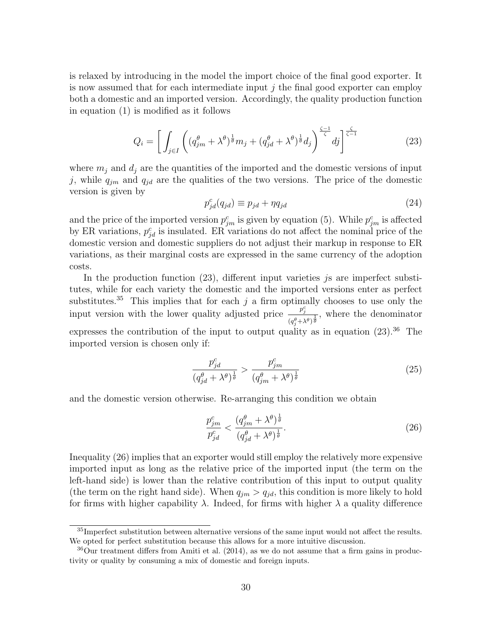is relaxed by introducing in the model the import choice of the final good exporter. It is now assumed that for each intermediate input  $j$  the final good exporter can employ both a domestic and an imported version. Accordingly, the quality production function in equation (1) is modified as it follows

$$
Q_i = \left[ \int_{j \in I} \left( (q_{jm}^\theta + \lambda^\theta)^{\frac{1}{\theta}} m_j + (q_{jd}^\theta + \lambda^\theta)^{\frac{1}{\theta}} d_j \right)^{\frac{\zeta - 1}{\zeta}} dj \right]^{\frac{\zeta}{\zeta - 1}}
$$
(23)

where  $m_j$  and  $d_j$  are the quantities of the imported and the domestic versions of input j, while  $q_{jm}$  and  $q_{jd}$  are the qualities of the two versions. The price of the domestic version is given by

$$
p_{jd}^c(q_{jd}) \equiv p_{jd} + \eta q_{jd} \tag{24}
$$

and the price of the imported version  $p_{jm}^c$  is given by equation (5). While  $p_{jm}^c$  is affected by ER variations,  $p_{jd}^c$  is insulated. ER variations do not affect the nominal price of the domestic version and domestic suppliers do not adjust their markup in response to ER variations, as their marginal costs are expressed in the same currency of the adoption costs.

In the production function  $(23)$ , different input varieties *js* are imperfect substitutes, while for each variety the domestic and the imported versions enter as perfect substitutes.<sup>35</sup> This implies that for each  $j$  a firm optimally chooses to use only the input version with the lower quality adjusted price  $\frac{p_j^c}{q_j^c}$  $\frac{p_j}{(q_j^{\theta} + \lambda^{\theta})^{\frac{1}{\theta}}}$ , where the denominator expresses the contribution of the input to output quality as in equation  $(23).^{36}$  The imported version is chosen only if:

$$
\frac{p_{jd}^c}{\left(q_{jd}^\theta + \lambda^\theta\right)^{\frac{1}{\theta}}} > \frac{p_{jm}^c}{\left(q_{jm}^\theta + \lambda^\theta\right)^{\frac{1}{\theta}}}
$$
\n
$$
(25)
$$

and the domestic version otherwise. Re-arranging this condition we obtain

$$
\frac{p_{jm}^c}{p_{jd}^c} < \frac{(q_{jm}^\theta + \lambda^\theta)^{\frac{1}{\theta}}}{(q_{jd}^\theta + \lambda^\theta)^{\frac{1}{\theta}}}.\tag{26}
$$

Inequality (26) implies that an exporter would still employ the relatively more expensive imported input as long as the relative price of the imported input (the term on the left-hand side) is lower than the relative contribution of this input to output quality (the term on the right hand side). When  $q_{im} > q_{id}$ , this condition is more likely to hold for firms with higher capability  $\lambda$ . Indeed, for firms with higher  $\lambda$  a quality difference

 $35$ Imperfect substitution between alternative versions of the same input would not affect the results. We opted for perfect substitution because this allows for a more intuitive discussion.

<sup>36</sup>Our treatment differs from Amiti et al. (2014), as we do not assume that a firm gains in productivity or quality by consuming a mix of domestic and foreign inputs.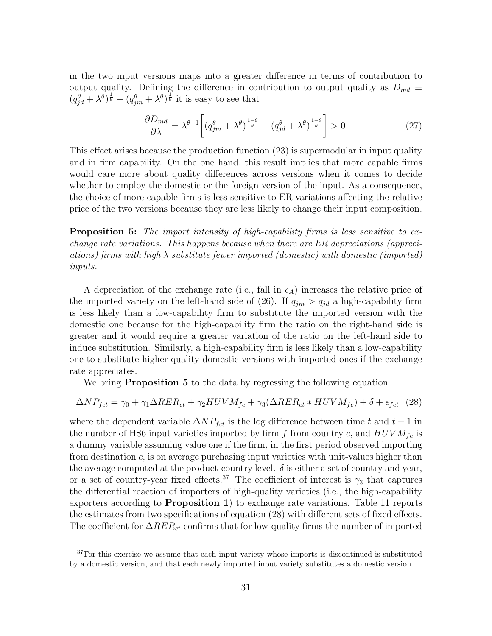in the two input versions maps into a greater difference in terms of contribution to output quality. Defining the difference in contribution to output quality as  $D_{md} \equiv$  $(q_{jd}^{\theta} + \lambda^{\theta})^{\frac{1}{\theta}} - (q_{jm}^{\theta} + \lambda^{\theta})^{\frac{1}{\theta}}$  it is easy to see that

$$
\frac{\partial D_{md}}{\partial \lambda} = \lambda^{\theta - 1} \left[ \left( q_{jm}^{\theta} + \lambda^{\theta} \right)^{\frac{1 - \theta}{\theta}} - \left( q_{jd}^{\theta} + \lambda^{\theta} \right)^{\frac{1 - \theta}{\theta}} \right] > 0. \tag{27}
$$

This effect arises because the production function (23) is supermodular in input quality and in firm capability. On the one hand, this result implies that more capable firms would care more about quality differences across versions when it comes to decide whether to employ the domestic or the foreign version of the input. As a consequence, the choice of more capable firms is less sensitive to ER variations affecting the relative price of the two versions because they are less likely to change their input composition.

Proposition 5: The import intensity of high-capability firms is less sensitive to exchange rate variations. This happens because when there are ER depreciations (appreciations) firms with high  $\lambda$  substitute fewer imported (domestic) with domestic (imported) inputs.

A depreciation of the exchange rate (i.e., fall in  $\epsilon_A$ ) increases the relative price of the imported variety on the left-hand side of (26). If  $q_{jm} > q_{jd}$  a high-capability firm is less likely than a low-capability firm to substitute the imported version with the domestic one because for the high-capability firm the ratio on the right-hand side is greater and it would require a greater variation of the ratio on the left-hand side to induce substitution. Similarly, a high-capability firm is less likely than a low-capability one to substitute higher quality domestic versions with imported ones if the exchange rate appreciates.

We bring **Proposition 5** to the data by regressing the following equation

$$
\Delta NP_{fct} = \gamma_0 + \gamma_1 \Delta RER_{ct} + \gamma_2 HUVM_{fc} + \gamma_3(\Delta RER_{ct} * HUVM_{fc}) + \delta + \epsilon_{fct} \tag{28}
$$

where the dependent variable  $\Delta NP_{fct}$  is the log difference between time t and t − 1 in the number of HS6 input varieties imported by firm f from country c, and  $HUVM_{fc}$  is a dummy variable assuming value one if the firm, in the first period observed importing from destination c, is on average purchasing input varieties with unit-values higher than the average computed at the product-country level.  $\delta$  is either a set of country and year, or a set of country-year fixed effects.<sup>37</sup> The coefficient of interest is  $\gamma_3$  that captures the differential reaction of importers of high-quality varieties (i.e., the high-capability exporters according to Proposition 1) to exchange rate variations. Table 11 reports the estimates from two specifications of equation (28) with different sets of fixed effects. The coefficient for  $\Delta RER_{ct}$  confirms that for low-quality firms the number of imported

<sup>&</sup>lt;sup>37</sup>For this exercise we assume that each input variety whose imports is discontinued is substituted by a domestic version, and that each newly imported input variety substitutes a domestic version.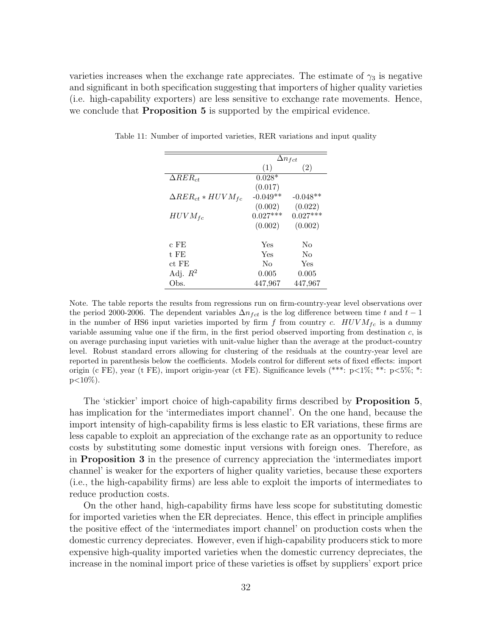varieties increases when the exchange rate appreciates. The estimate of  $\gamma_3$  is negative and significant in both specification suggesting that importers of higher quality varieties (i.e. high-capability exporters) are less sensitive to exchange rate movements. Hence, we conclude that **Proposition 5** is supported by the empirical evidence.

|                             |            | $\Delta n_{fct}$ |
|-----------------------------|------------|------------------|
|                             | (1)        | (2)              |
| $\Delta RER_{ct}$           | $0.028*$   |                  |
|                             | (0.017)    |                  |
| $\Delta RER_{ct}*HUVM_{fc}$ | $-0.049**$ | $-0.048**$       |
|                             | (0.002)    | (0.022)          |
| $HUVM_{fc}$                 | $0.027***$ | $0.027***$       |
|                             | (0.002)    | (0.002)          |
| c FE                        | Yes        | No               |
| t FE                        | Yes        | Nο               |
| $ct$ FE                     | Nο         | Yes              |
| Adj. $R^2$                  | 0.005      | 0.005            |
| Obs.                        | 447,967    | 447,967          |

Table 11: Number of imported varieties, RER variations and input quality

Note. The table reports the results from regressions run on firm-country-year level observations over the period 2000-2006. The dependent variables  $\Delta n_{fct}$  is the log difference between time t and t − 1 in the number of HS6 input varieties imported by firm f from country c.  $HUVM_{fc}$  is a dummy variable assuming value one if the firm, in the first period observed importing from destination  $c$ , is on average purchasing input varieties with unit-value higher than the average at the product-country level. Robust standard errors allowing for clustering of the residuals at the country-year level are reported in parenthesis below the coefficients. Models control for different sets of fixed effects: import origin (c FE), year (t FE), import origin-year (ct FE). Significance levels (\*\*\*: p<1%; \*\*: p<5%; \*:  $p<10\%$ ).

The 'stickier' import choice of high-capability firms described by Proposition 5, has implication for the 'intermediates import channel'. On the one hand, because the import intensity of high-capability firms is less elastic to ER variations, these firms are less capable to exploit an appreciation of the exchange rate as an opportunity to reduce costs by substituting some domestic input versions with foreign ones. Therefore, as in Proposition 3 in the presence of currency appreciation the 'intermediates import channel' is weaker for the exporters of higher quality varieties, because these exporters (i.e., the high-capability firms) are less able to exploit the imports of intermediates to reduce production costs.

On the other hand, high-capability firms have less scope for substituting domestic for imported varieties when the ER depreciates. Hence, this effect in principle amplifies the positive effect of the 'intermediates import channel' on production costs when the domestic currency depreciates. However, even if high-capability producers stick to more expensive high-quality imported varieties when the domestic currency depreciates, the increase in the nominal import price of these varieties is offset by suppliers' export price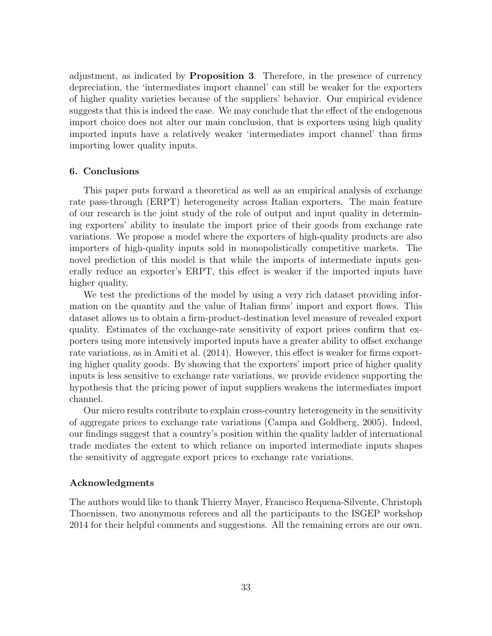adjustment, as indicated by Proposition 3. Therefore, in the presence of currency depreciation, the 'intermediates import channel' can still be weaker for the exporters of higher quality varieties because of the suppliers' behavior. Our empirical evidence suggests that this is indeed the case. We may conclude that the effect of the endogenous import choice does not alter our main conclusion, that is exporters using high quality imported inputs have a relatively weaker 'intermediates import channel' than firms importing lower quality inputs.

# 6. Conclusions

This paper puts forward a theoretical as well as an empirical analysis of exchange rate pass-through (ERPT) heterogeneity across Italian exporters. The main feature of our research is the joint study of the role of output and input quality in determining exporters' ability to insulate the import price of their goods from exchange rate variations. We propose a model where the exporters of high-quality products are also importers of high-quality inputs sold in monopolistically competitive markets. The novel prediction of this model is that while the imports of intermediate inputs generally reduce an exporter's ERPT, this effect is weaker if the imported inputs have higher quality.

We test the predictions of the model by using a very rich dataset providing information on the quantity and the value of Italian firms' import and export flows. This dataset allows us to obtain a firm-product-destination level measure of revealed export quality. Estimates of the exchange-rate sensitivity of export prices confirm that exporters using more intensively imported inputs have a greater ability to offset exchange rate variations, as in Amiti et al. (2014). However, this effect is weaker for firms exporting higher quality goods. By showing that the exporters' import price of higher quality inputs is less sensitive to exchange rate variations, we provide evidence supporting the hypothesis that the pricing power of input suppliers weakens the intermediates import channel.

Our micro results contribute to explain cross-country heterogeneity in the sensitivity of aggregate prices to exchange rate variations (Campa and Goldberg, 2005). Indeed, our findings suggest that a country's position within the quality ladder of international trade mediates the extent to which reliance on imported intermediate inputs shapes the sensitivity of aggregate export prices to exchange rate variations.

# Acknowledgments

The authors would like to thank Thierry Mayer, Francisco Requena-Silvente, Christoph Thoenissen, two anonymous referees and all the participants to the ISGEP workshop 2014 for their helpful comments and suggestions. All the remaining errors are our own.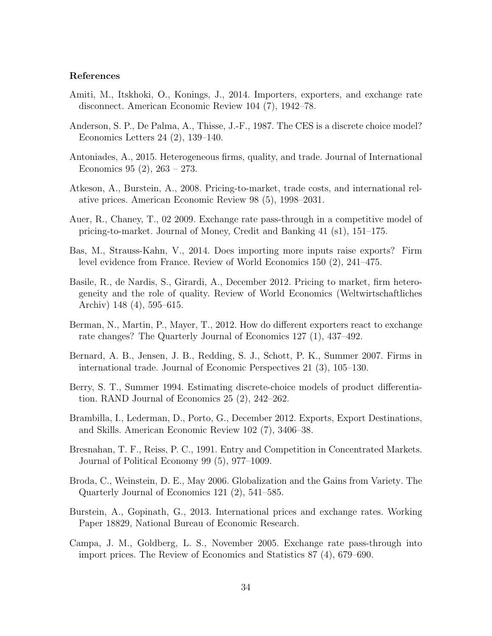## References

- Amiti, M., Itskhoki, O., Konings, J., 2014. Importers, exporters, and exchange rate disconnect. American Economic Review 104 (7), 1942–78.
- Anderson, S. P., De Palma, A., Thisse, J.-F., 1987. The CES is a discrete choice model? Economics Letters 24 (2), 139–140.
- Antoniades, A., 2015. Heterogeneous firms, quality, and trade. Journal of International Economics 95 (2), 263 – 273.
- Atkeson, A., Burstein, A., 2008. Pricing-to-market, trade costs, and international relative prices. American Economic Review 98 (5), 1998–2031.
- Auer, R., Chaney, T., 02 2009. Exchange rate pass-through in a competitive model of pricing-to-market. Journal of Money, Credit and Banking 41 (s1), 151–175.
- Bas, M., Strauss-Kahn, V., 2014. Does importing more inputs raise exports? Firm level evidence from France. Review of World Economics 150 (2), 241–475.
- Basile, R., de Nardis, S., Girardi, A., December 2012. Pricing to market, firm heterogeneity and the role of quality. Review of World Economics (Weltwirtschaftliches Archiv) 148 (4), 595–615.
- Berman, N., Martin, P., Mayer, T., 2012. How do different exporters react to exchange rate changes? The Quarterly Journal of Economics 127 (1), 437–492.
- Bernard, A. B., Jensen, J. B., Redding, S. J., Schott, P. K., Summer 2007. Firms in international trade. Journal of Economic Perspectives 21 (3), 105–130.
- Berry, S. T., Summer 1994. Estimating discrete-choice models of product differentiation. RAND Journal of Economics 25 (2), 242–262.
- Brambilla, I., Lederman, D., Porto, G., December 2012. Exports, Export Destinations, and Skills. American Economic Review 102 (7), 3406–38.
- Bresnahan, T. F., Reiss, P. C., 1991. Entry and Competition in Concentrated Markets. Journal of Political Economy 99 (5), 977–1009.
- Broda, C., Weinstein, D. E., May 2006. Globalization and the Gains from Variety. The Quarterly Journal of Economics 121 (2), 541–585.
- Burstein, A., Gopinath, G., 2013. International prices and exchange rates. Working Paper 18829, National Bureau of Economic Research.
- Campa, J. M., Goldberg, L. S., November 2005. Exchange rate pass-through into import prices. The Review of Economics and Statistics 87 (4), 679–690.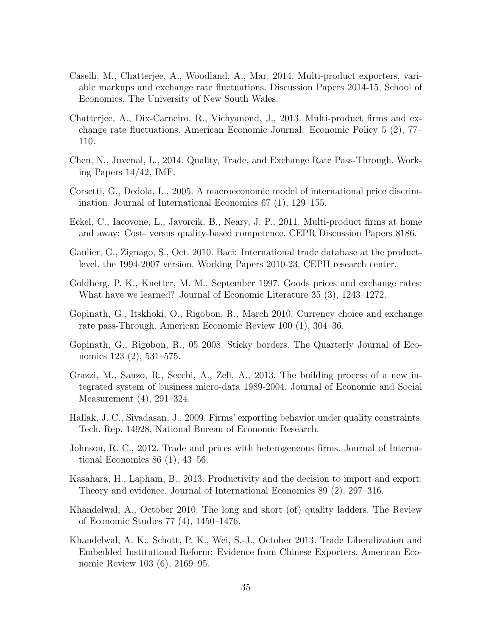- Caselli, M., Chatterjee, A., Woodland, A., Mar. 2014. Multi-product exporters, variable markups and exchange rate fluctuations. Discussion Papers 2014-15, School of Economics, The University of New South Wales.
- Chatterjee, A., Dix-Carneiro, R., Vichyanond, J., 2013. Multi-product firms and exchange rate fluctuations. American Economic Journal: Economic Policy 5 (2), 77– 110.
- Chen, N., Juvenal, L., 2014. Quality, Trade, and Exchange Rate Pass-Through. Working Papers 14/42, IMF.
- Corsetti, G., Dedola, L., 2005. A macroeconomic model of international price discrimination. Journal of International Economics 67 (1), 129–155.
- Eckel, C., Iacovone, L., Javorcik, B., Neary, J. P., 2011. Multi-product firms at home and away: Cost- versus quality-based competence. CEPR Discussion Papers 8186.
- Gaulier, G., Zignago, S., Oct. 2010. Baci: International trade database at the productlevel. the 1994-2007 version. Working Papers 2010-23, CEPII research center.
- Goldberg, P. K., Knetter, M. M., September 1997. Goods prices and exchange rates: What have we learned? Journal of Economic Literature 35 (3), 1243–1272.
- Gopinath, G., Itskhoki, O., Rigobon, R., March 2010. Currency choice and exchange rate pass-Through. American Economic Review 100 (1), 304–36.
- Gopinath, G., Rigobon, R., 05 2008. Sticky borders. The Quarterly Journal of Economics 123 (2), 531–575.
- Grazzi, M., Sanzo, R., Secchi, A., Zeli, A., 2013. The building process of a new integrated system of business micro-data 1989-2004. Journal of Economic and Social Measurement (4), 291–324.
- Hallak, J. C., Sivadasan, J., 2009. Firms' exporting behavior under quality constraints. Tech. Rep. 14928, National Bureau of Economic Research.
- Johnson, R. C., 2012. Trade and prices with heterogeneous firms. Journal of International Economics 86 (1), 43–56.
- Kasahara, H., Lapham, B., 2013. Productivity and the decision to import and export: Theory and evidence. Journal of International Economics 89 (2), 297–316.
- Khandelwal, A., October 2010. The long and short (of) quality ladders. The Review of Economic Studies 77 (4), 1450–1476.
- Khandelwal, A. K., Schott, P. K., Wei, S.-J., October 2013. Trade Liberalization and Embedded Institutional Reform: Evidence from Chinese Exporters. American Economic Review 103 (6), 2169–95.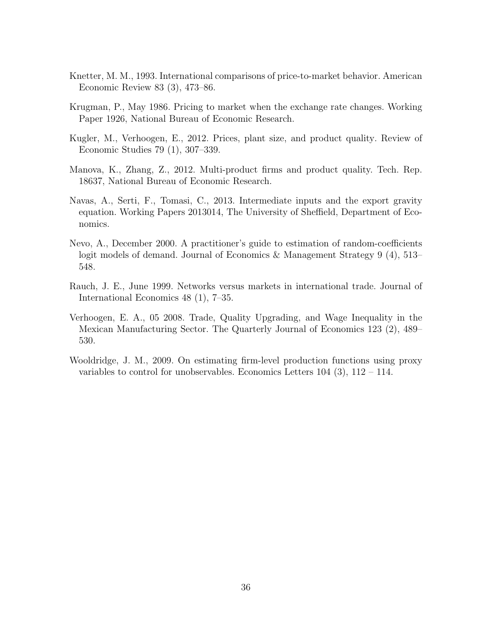- Knetter, M. M., 1993. International comparisons of price-to-market behavior. American Economic Review 83 (3), 473–86.
- Krugman, P., May 1986. Pricing to market when the exchange rate changes. Working Paper 1926, National Bureau of Economic Research.
- Kugler, M., Verhoogen, E., 2012. Prices, plant size, and product quality. Review of Economic Studies 79 (1), 307–339.
- Manova, K., Zhang, Z., 2012. Multi-product firms and product quality. Tech. Rep. 18637, National Bureau of Economic Research.
- Navas, A., Serti, F., Tomasi, C., 2013. Intermediate inputs and the export gravity equation. Working Papers 2013014, The University of Sheffield, Department of Economics.
- Nevo, A., December 2000. A practitioner's guide to estimation of random-coefficients logit models of demand. Journal of Economics & Management Strategy 9 (4), 513– 548.
- Rauch, J. E., June 1999. Networks versus markets in international trade. Journal of International Economics 48 (1), 7–35.
- Verhoogen, E. A., 05 2008. Trade, Quality Upgrading, and Wage Inequality in the Mexican Manufacturing Sector. The Quarterly Journal of Economics 123 (2), 489– 530.
- Wooldridge, J. M., 2009. On estimating firm-level production functions using proxy variables to control for unobservables. Economics Letters  $104$  (3),  $112 - 114$ .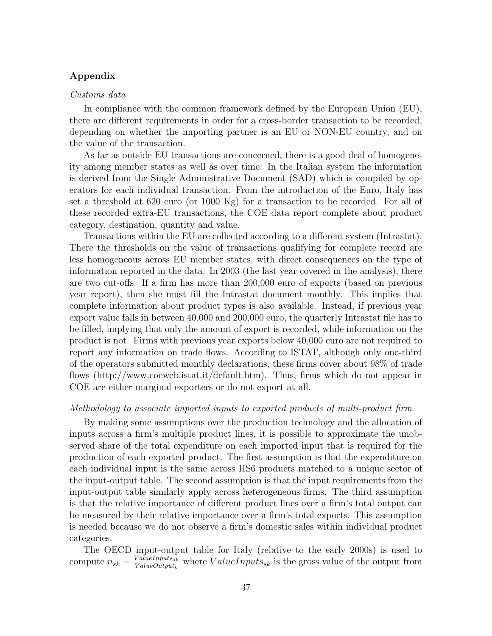# Appendix

#### Customs data

In compliance with the common framework defined by the European Union (EU), there are different requirements in order for a cross-border transaction to be recorded, depending on whether the importing partner is an EU or NON-EU country, and on the value of the transaction.

As far as outside EU transactions are concerned, there is a good deal of homogeneity among member states as well as over time. In the Italian system the information is derived from the Single Administrative Document (SAD) which is compiled by operators for each individual transaction. From the introduction of the Euro, Italy has set a threshold at 620 euro (or 1000 Kg) for a transaction to be recorded. For all of these recorded extra-EU transactions, the COE data report complete about product category, destination, quantity and value.

Transactions within the EU are collected according to a different system (Intrastat). There the thresholds on the value of transactions qualifying for complete record are less homogeneous across EU member states, with direct consequences on the type of information reported in the data. In 2003 (the last year covered in the analysis), there are two cut-offs. If a firm has more than 200,000 euro of exports (based on previous year report), then she must fill the Intrastat document monthly. This implies that complete information about product types is also available. Instead, if previous year export value falls in between 40,000 and 200,000 euro, the quarterly Intrastat file has to be filled, implying that only the amount of export is recorded, while information on the product is not. Firms with previous year exports below 40,000 euro are not required to report any information on trade flows. According to ISTAT, although only one-third of the operators submitted monthly declarations, these firms cover about 98% of trade flows (http://www.coeweb.istat.it/default.htm). Thus, firms which do not appear in COE are either marginal exporters or do not export at all.

#### Methodology to associate imported inputs to exported products of multi-product firm

By making some assumptions over the production technology and the allocation of inputs across a firm's multiple product lines, it is possible to approximate the unobserved share of the total expenditure on each imported input that is required for the production of each exported product. The first assumption is that the expenditure on each individual input is the same across HS6 products matched to a unique sector of the input-output table. The second assumption is that the input requirements from the input-output table similarly apply across heterogeneous firms. The third assumption is that the relative importance of different product lines over a firm's total output can be measured by their relative importance over a firm's total exports. This assumption is needed because we do not observe a firm's domestic sales within individual product categories.

The OECD input-output table for Italy (relative to the early 2000s) is used to compute  $n_{sk} = \frac{ValueInputStream_{sk}}{ValueOutputStream_{k}}$  $\frac{ValueInputStream_{y}}{ValueOutputStream}$  where  $ValueInputStream_{sk}$  is the gross value of the output from